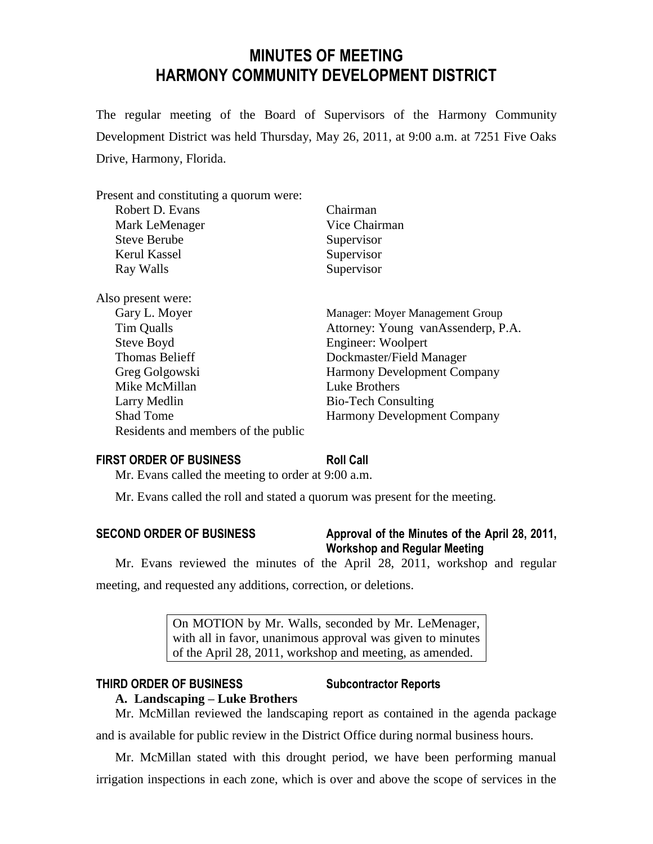# **MINUTES OF MEETING HARMONY COMMUNITY DEVELOPMENT DISTRICT**

The regular meeting of the Board of Supervisors of the Harmony Community Development District was held Thursday, May 26, 2011, at 9:00 a.m. at 7251 Five Oaks Drive, Harmony, Florida.

Present and constituting a quorum were:

| Robert D. Evans                     | Chairman                           |
|-------------------------------------|------------------------------------|
| Mark LeMenager                      | Vice Chairman                      |
| <b>Steve Berube</b>                 | Supervisor                         |
| Kerul Kassel                        | Supervisor                         |
| Ray Walls                           | Supervisor                         |
| Also present were:                  |                                    |
| Gary L. Moyer                       | Manager: Moyer Management Group    |
| Tim Qualls                          | Attorney: Young vanAssenderp, P.A. |
| Steve Boyd                          | Engineer: Woolpert                 |
| <b>Thomas Belieff</b>               | Dockmaster/Field Manager           |
| Greg Golgowski                      | <b>Harmony Development Company</b> |
| Mike McMillan                       | <b>Luke Brothers</b>               |
| Larry Medlin                        | <b>Bio-Tech Consulting</b>         |
| <b>Shad Tome</b>                    | <b>Harmony Development Company</b> |
| Residents and members of the public |                                    |
|                                     |                                    |

# **FIRST ORDER OF BUSINESS Roll Call**

Mr. Evans called the meeting to order at 9:00 a.m.

Mr. Evans called the roll and stated a quorum was present for the meeting.

# **SECOND ORDER OF BUSINESS Approval of the Minutes of the April 28, 2011, Workshop and Regular Meeting**

Mr. Evans reviewed the minutes of the April 28, 2011, workshop and regular meeting, and requested any additions, correction, or deletions.

> On MOTION by Mr. Walls, seconded by Mr. LeMenager, with all in favor, unanimous approval was given to minutes of the April 28, 2011, workshop and meeting, as amended.

# **THIRD ORDER OF BUSINESS Subcontractor Reports**

# **A. Landscaping – Luke Brothers**

Mr. McMillan reviewed the landscaping report as contained in the agenda package and is available for public review in the District Office during normal business hours.

Mr. McMillan stated with this drought period, we have been performing manual irrigation inspections in each zone, which is over and above the scope of services in the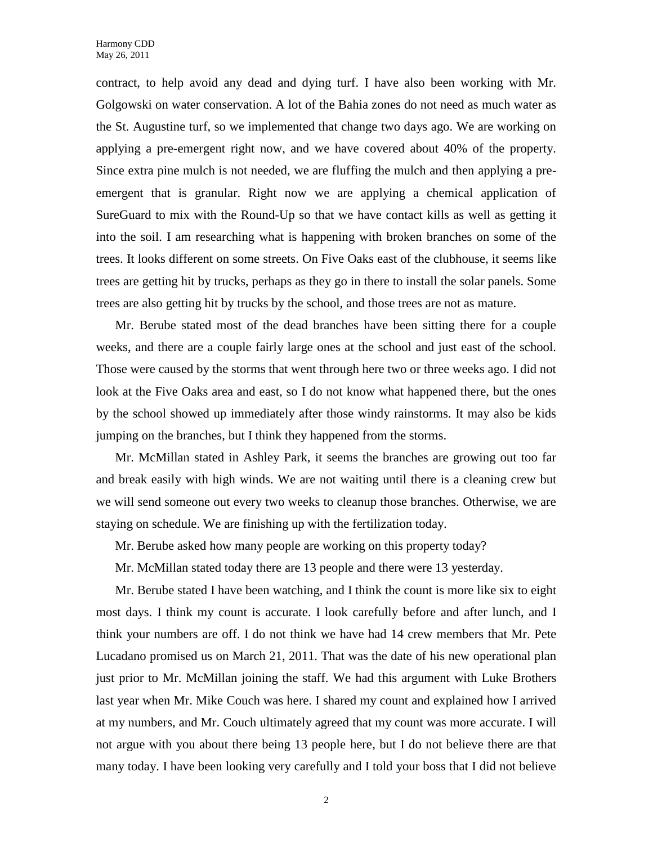contract, to help avoid any dead and dying turf. I have also been working with Mr. Golgowski on water conservation. A lot of the Bahia zones do not need as much water as the St. Augustine turf, so we implemented that change two days ago. We are working on applying a pre-emergent right now, and we have covered about 40% of the property. Since extra pine mulch is not needed, we are fluffing the mulch and then applying a preemergent that is granular. Right now we are applying a chemical application of SureGuard to mix with the Round-Up so that we have contact kills as well as getting it into the soil. I am researching what is happening with broken branches on some of the trees. It looks different on some streets. On Five Oaks east of the clubhouse, it seems like trees are getting hit by trucks, perhaps as they go in there to install the solar panels. Some trees are also getting hit by trucks by the school, and those trees are not as mature.

Mr. Berube stated most of the dead branches have been sitting there for a couple weeks, and there are a couple fairly large ones at the school and just east of the school. Those were caused by the storms that went through here two or three weeks ago. I did not look at the Five Oaks area and east, so I do not know what happened there, but the ones by the school showed up immediately after those windy rainstorms. It may also be kids jumping on the branches, but I think they happened from the storms.

Mr. McMillan stated in Ashley Park, it seems the branches are growing out too far and break easily with high winds. We are not waiting until there is a cleaning crew but we will send someone out every two weeks to cleanup those branches. Otherwise, we are staying on schedule. We are finishing up with the fertilization today.

Mr. Berube asked how many people are working on this property today?

Mr. McMillan stated today there are 13 people and there were 13 yesterday.

Mr. Berube stated I have been watching, and I think the count is more like six to eight most days. I think my count is accurate. I look carefully before and after lunch, and I think your numbers are off. I do not think we have had 14 crew members that Mr. Pete Lucadano promised us on March 21, 2011. That was the date of his new operational plan just prior to Mr. McMillan joining the staff. We had this argument with Luke Brothers last year when Mr. Mike Couch was here. I shared my count and explained how I arrived at my numbers, and Mr. Couch ultimately agreed that my count was more accurate. I will not argue with you about there being 13 people here, but I do not believe there are that many today. I have been looking very carefully and I told your boss that I did not believe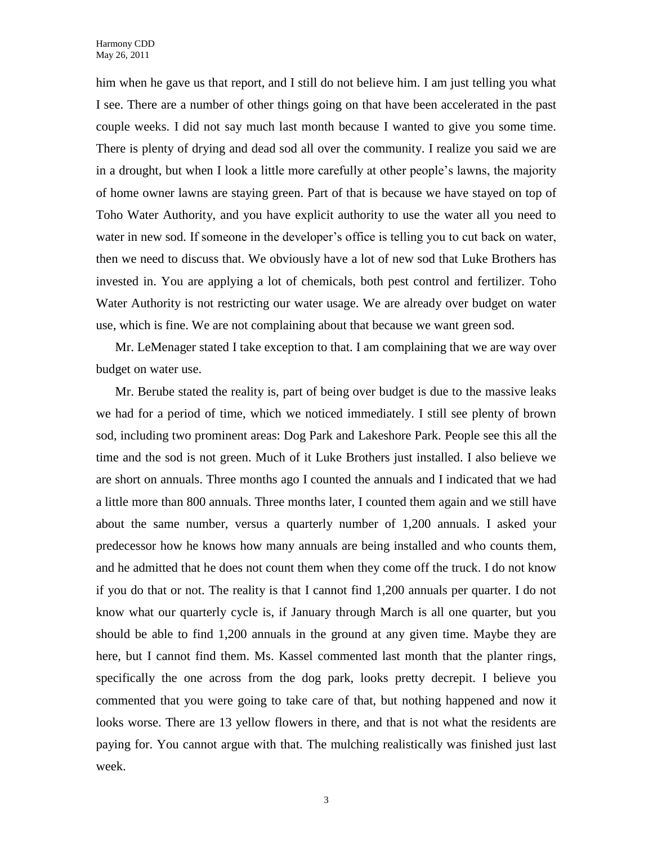him when he gave us that report, and I still do not believe him. I am just telling you what I see. There are a number of other things going on that have been accelerated in the past couple weeks. I did not say much last month because I wanted to give you some time. There is plenty of drying and dead sod all over the community. I realize you said we are in a drought, but when I look a little more carefully at other people's lawns, the majority of home owner lawns are staying green. Part of that is because we have stayed on top of Toho Water Authority, and you have explicit authority to use the water all you need to water in new sod. If someone in the developer's office is telling you to cut back on water, then we need to discuss that. We obviously have a lot of new sod that Luke Brothers has invested in. You are applying a lot of chemicals, both pest control and fertilizer. Toho Water Authority is not restricting our water usage. We are already over budget on water use, which is fine. We are not complaining about that because we want green sod.

Mr. LeMenager stated I take exception to that. I am complaining that we are way over budget on water use.

Mr. Berube stated the reality is, part of being over budget is due to the massive leaks we had for a period of time, which we noticed immediately. I still see plenty of brown sod, including two prominent areas: Dog Park and Lakeshore Park. People see this all the time and the sod is not green. Much of it Luke Brothers just installed. I also believe we are short on annuals. Three months ago I counted the annuals and I indicated that we had a little more than 800 annuals. Three months later, I counted them again and we still have about the same number, versus a quarterly number of 1,200 annuals. I asked your predecessor how he knows how many annuals are being installed and who counts them, and he admitted that he does not count them when they come off the truck. I do not know if you do that or not. The reality is that I cannot find 1,200 annuals per quarter. I do not know what our quarterly cycle is, if January through March is all one quarter, but you should be able to find 1,200 annuals in the ground at any given time. Maybe they are here, but I cannot find them. Ms. Kassel commented last month that the planter rings, specifically the one across from the dog park, looks pretty decrepit. I believe you commented that you were going to take care of that, but nothing happened and now it looks worse. There are 13 yellow flowers in there, and that is not what the residents are paying for. You cannot argue with that. The mulching realistically was finished just last week.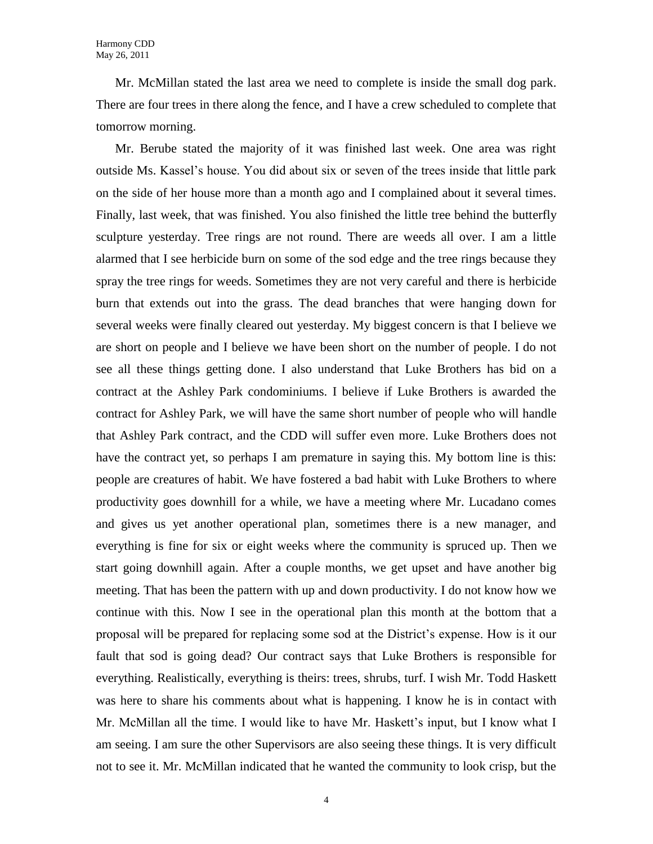Mr. McMillan stated the last area we need to complete is inside the small dog park. There are four trees in there along the fence, and I have a crew scheduled to complete that tomorrow morning.

Mr. Berube stated the majority of it was finished last week. One area was right outside Ms. Kassel's house. You did about six or seven of the trees inside that little park on the side of her house more than a month ago and I complained about it several times. Finally, last week, that was finished. You also finished the little tree behind the butterfly sculpture yesterday. Tree rings are not round. There are weeds all over. I am a little alarmed that I see herbicide burn on some of the sod edge and the tree rings because they spray the tree rings for weeds. Sometimes they are not very careful and there is herbicide burn that extends out into the grass. The dead branches that were hanging down for several weeks were finally cleared out yesterday. My biggest concern is that I believe we are short on people and I believe we have been short on the number of people. I do not see all these things getting done. I also understand that Luke Brothers has bid on a contract at the Ashley Park condominiums. I believe if Luke Brothers is awarded the contract for Ashley Park, we will have the same short number of people who will handle that Ashley Park contract, and the CDD will suffer even more. Luke Brothers does not have the contract yet, so perhaps I am premature in saying this. My bottom line is this: people are creatures of habit. We have fostered a bad habit with Luke Brothers to where productivity goes downhill for a while, we have a meeting where Mr. Lucadano comes and gives us yet another operational plan, sometimes there is a new manager, and everything is fine for six or eight weeks where the community is spruced up. Then we start going downhill again. After a couple months, we get upset and have another big meeting. That has been the pattern with up and down productivity. I do not know how we continue with this. Now I see in the operational plan this month at the bottom that a proposal will be prepared for replacing some sod at the District's expense. How is it our fault that sod is going dead? Our contract says that Luke Brothers is responsible for everything. Realistically, everything is theirs: trees, shrubs, turf. I wish Mr. Todd Haskett was here to share his comments about what is happening. I know he is in contact with Mr. McMillan all the time. I would like to have Mr. Haskett's input, but I know what I am seeing. I am sure the other Supervisors are also seeing these things. It is very difficult not to see it. Mr. McMillan indicated that he wanted the community to look crisp, but the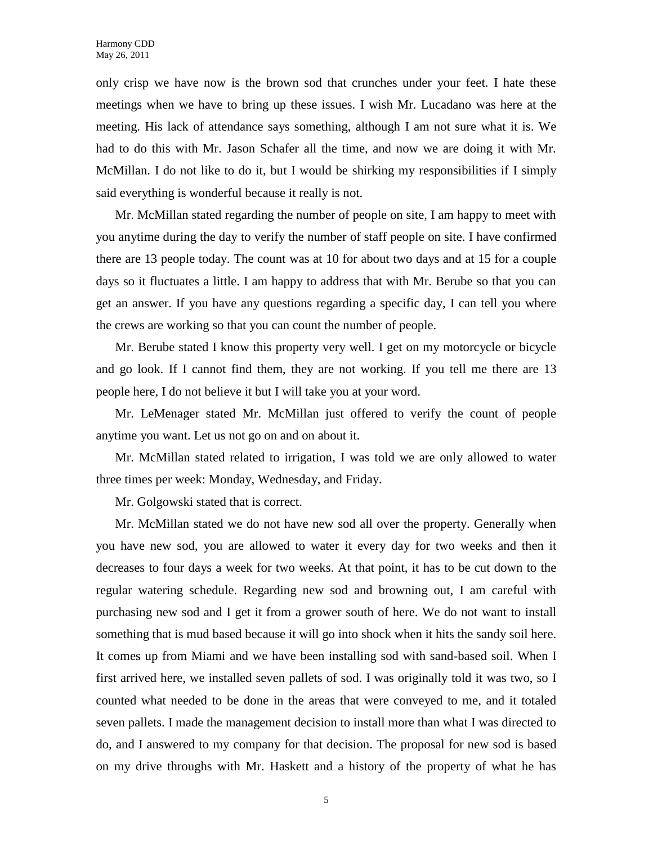only crisp we have now is the brown sod that crunches under your feet. I hate these meetings when we have to bring up these issues. I wish Mr. Lucadano was here at the meeting. His lack of attendance says something, although I am not sure what it is. We had to do this with Mr. Jason Schafer all the time, and now we are doing it with Mr. McMillan. I do not like to do it, but I would be shirking my responsibilities if I simply said everything is wonderful because it really is not.

Mr. McMillan stated regarding the number of people on site, I am happy to meet with you anytime during the day to verify the number of staff people on site. I have confirmed there are 13 people today. The count was at 10 for about two days and at 15 for a couple days so it fluctuates a little. I am happy to address that with Mr. Berube so that you can get an answer. If you have any questions regarding a specific day, I can tell you where the crews are working so that you can count the number of people.

Mr. Berube stated I know this property very well. I get on my motorcycle or bicycle and go look. If I cannot find them, they are not working. If you tell me there are 13 people here, I do not believe it but I will take you at your word.

Mr. LeMenager stated Mr. McMillan just offered to verify the count of people anytime you want. Let us not go on and on about it.

Mr. McMillan stated related to irrigation, I was told we are only allowed to water three times per week: Monday, Wednesday, and Friday.

Mr. Golgowski stated that is correct.

Mr. McMillan stated we do not have new sod all over the property. Generally when you have new sod, you are allowed to water it every day for two weeks and then it decreases to four days a week for two weeks. At that point, it has to be cut down to the regular watering schedule. Regarding new sod and browning out, I am careful with purchasing new sod and I get it from a grower south of here. We do not want to install something that is mud based because it will go into shock when it hits the sandy soil here. It comes up from Miami and we have been installing sod with sand-based soil. When I first arrived here, we installed seven pallets of sod. I was originally told it was two, so I counted what needed to be done in the areas that were conveyed to me, and it totaled seven pallets. I made the management decision to install more than what I was directed to do, and I answered to my company for that decision. The proposal for new sod is based on my drive throughs with Mr. Haskett and a history of the property of what he has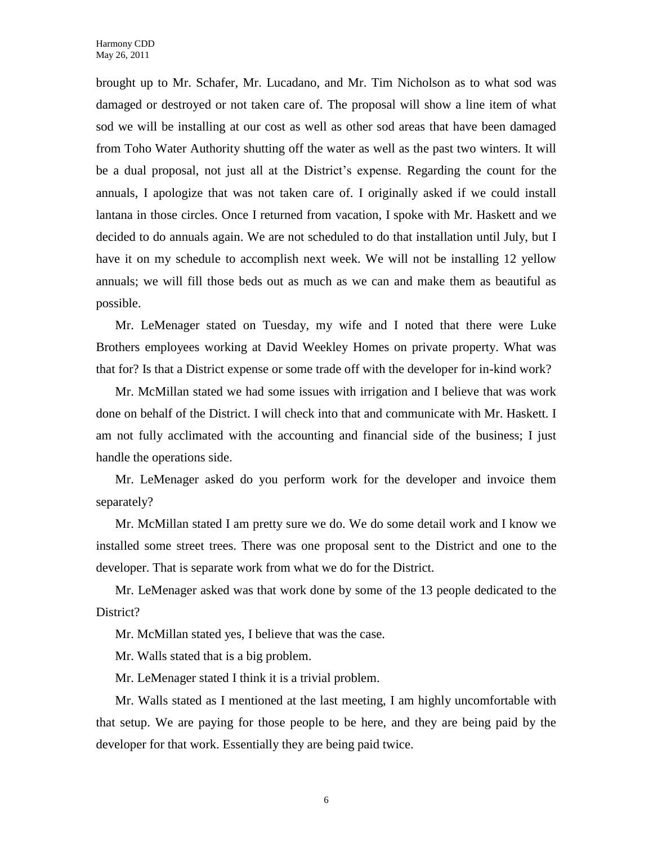brought up to Mr. Schafer, Mr. Lucadano, and Mr. Tim Nicholson as to what sod was damaged or destroyed or not taken care of. The proposal will show a line item of what sod we will be installing at our cost as well as other sod areas that have been damaged from Toho Water Authority shutting off the water as well as the past two winters. It will be a dual proposal, not just all at the District's expense. Regarding the count for the annuals, I apologize that was not taken care of. I originally asked if we could install lantana in those circles. Once I returned from vacation, I spoke with Mr. Haskett and we decided to do annuals again. We are not scheduled to do that installation until July, but I have it on my schedule to accomplish next week. We will not be installing 12 yellow annuals; we will fill those beds out as much as we can and make them as beautiful as possible.

Mr. LeMenager stated on Tuesday, my wife and I noted that there were Luke Brothers employees working at David Weekley Homes on private property. What was that for? Is that a District expense or some trade off with the developer for in-kind work?

Mr. McMillan stated we had some issues with irrigation and I believe that was work done on behalf of the District. I will check into that and communicate with Mr. Haskett. I am not fully acclimated with the accounting and financial side of the business; I just handle the operations side.

Mr. LeMenager asked do you perform work for the developer and invoice them separately?

Mr. McMillan stated I am pretty sure we do. We do some detail work and I know we installed some street trees. There was one proposal sent to the District and one to the developer. That is separate work from what we do for the District.

Mr. LeMenager asked was that work done by some of the 13 people dedicated to the District?

Mr. McMillan stated yes, I believe that was the case.

Mr. Walls stated that is a big problem.

Mr. LeMenager stated I think it is a trivial problem.

Mr. Walls stated as I mentioned at the last meeting, I am highly uncomfortable with that setup. We are paying for those people to be here, and they are being paid by the developer for that work. Essentially they are being paid twice.

6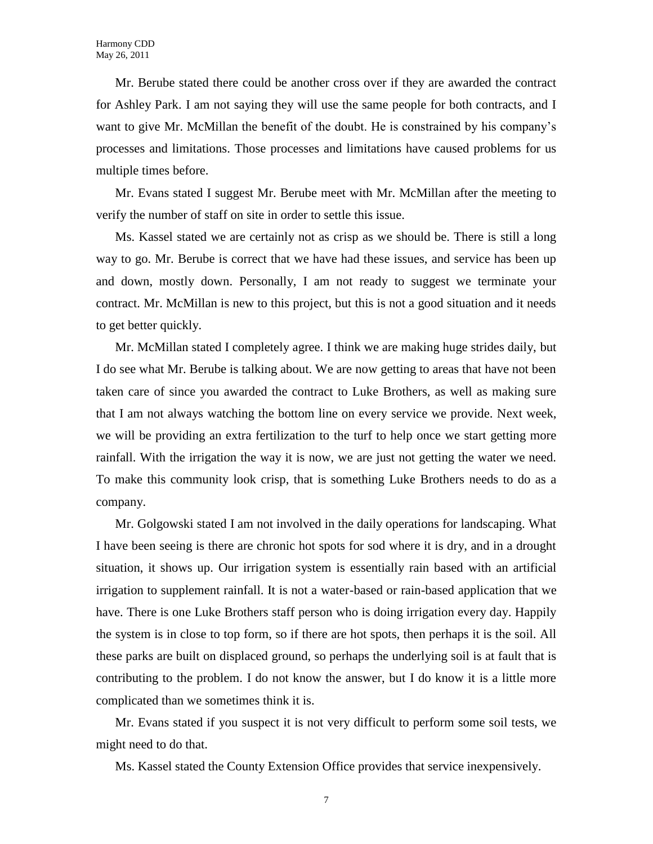Mr. Berube stated there could be another cross over if they are awarded the contract for Ashley Park. I am not saying they will use the same people for both contracts, and I want to give Mr. McMillan the benefit of the doubt. He is constrained by his company's processes and limitations. Those processes and limitations have caused problems for us multiple times before.

Mr. Evans stated I suggest Mr. Berube meet with Mr. McMillan after the meeting to verify the number of staff on site in order to settle this issue.

Ms. Kassel stated we are certainly not as crisp as we should be. There is still a long way to go. Mr. Berube is correct that we have had these issues, and service has been up and down, mostly down. Personally, I am not ready to suggest we terminate your contract. Mr. McMillan is new to this project, but this is not a good situation and it needs to get better quickly.

Mr. McMillan stated I completely agree. I think we are making huge strides daily, but I do see what Mr. Berube is talking about. We are now getting to areas that have not been taken care of since you awarded the contract to Luke Brothers, as well as making sure that I am not always watching the bottom line on every service we provide. Next week, we will be providing an extra fertilization to the turf to help once we start getting more rainfall. With the irrigation the way it is now, we are just not getting the water we need. To make this community look crisp, that is something Luke Brothers needs to do as a company.

Mr. Golgowski stated I am not involved in the daily operations for landscaping. What I have been seeing is there are chronic hot spots for sod where it is dry, and in a drought situation, it shows up. Our irrigation system is essentially rain based with an artificial irrigation to supplement rainfall. It is not a water-based or rain-based application that we have. There is one Luke Brothers staff person who is doing irrigation every day. Happily the system is in close to top form, so if there are hot spots, then perhaps it is the soil. All these parks are built on displaced ground, so perhaps the underlying soil is at fault that is contributing to the problem. I do not know the answer, but I do know it is a little more complicated than we sometimes think it is.

Mr. Evans stated if you suspect it is not very difficult to perform some soil tests, we might need to do that.

Ms. Kassel stated the County Extension Office provides that service inexpensively.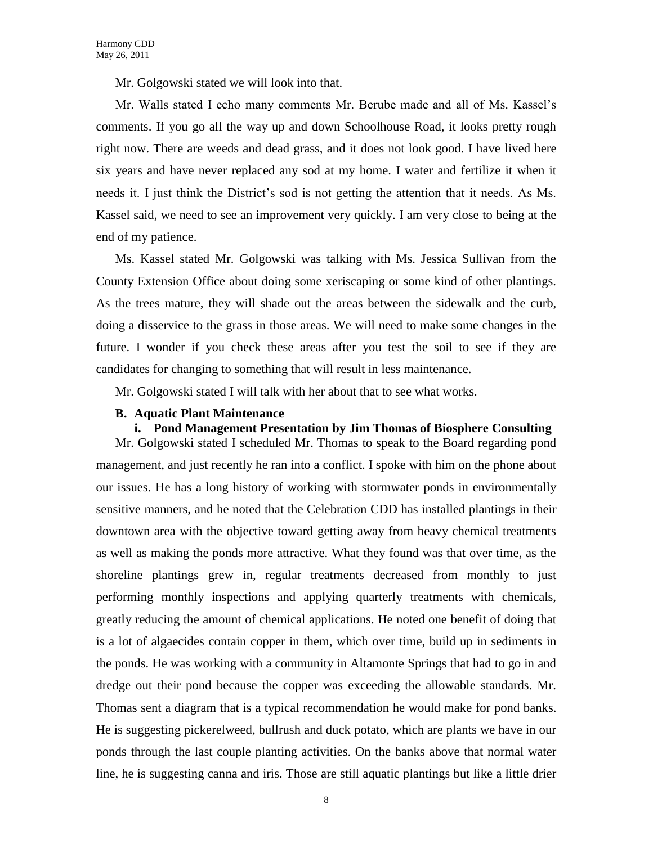Mr. Golgowski stated we will look into that.

Mr. Walls stated I echo many comments Mr. Berube made and all of Ms. Kassel's comments. If you go all the way up and down Schoolhouse Road, it looks pretty rough right now. There are weeds and dead grass, and it does not look good. I have lived here six years and have never replaced any sod at my home. I water and fertilize it when it needs it. I just think the District's sod is not getting the attention that it needs. As Ms. Kassel said, we need to see an improvement very quickly. I am very close to being at the end of my patience.

Ms. Kassel stated Mr. Golgowski was talking with Ms. Jessica Sullivan from the County Extension Office about doing some xeriscaping or some kind of other plantings. As the trees mature, they will shade out the areas between the sidewalk and the curb, doing a disservice to the grass in those areas. We will need to make some changes in the future. I wonder if you check these areas after you test the soil to see if they are candidates for changing to something that will result in less maintenance.

Mr. Golgowski stated I will talk with her about that to see what works.

#### **B. Aquatic Plant Maintenance**

# **i. Pond Management Presentation by Jim Thomas of Biosphere Consulting**

Mr. Golgowski stated I scheduled Mr. Thomas to speak to the Board regarding pond management, and just recently he ran into a conflict. I spoke with him on the phone about our issues. He has a long history of working with stormwater ponds in environmentally sensitive manners, and he noted that the Celebration CDD has installed plantings in their downtown area with the objective toward getting away from heavy chemical treatments as well as making the ponds more attractive. What they found was that over time, as the shoreline plantings grew in, regular treatments decreased from monthly to just performing monthly inspections and applying quarterly treatments with chemicals, greatly reducing the amount of chemical applications. He noted one benefit of doing that is a lot of algaecides contain copper in them, which over time, build up in sediments in the ponds. He was working with a community in Altamonte Springs that had to go in and dredge out their pond because the copper was exceeding the allowable standards. Mr. Thomas sent a diagram that is a typical recommendation he would make for pond banks. He is suggesting pickerelweed, bullrush and duck potato, which are plants we have in our ponds through the last couple planting activities. On the banks above that normal water line, he is suggesting canna and iris. Those are still aquatic plantings but like a little drier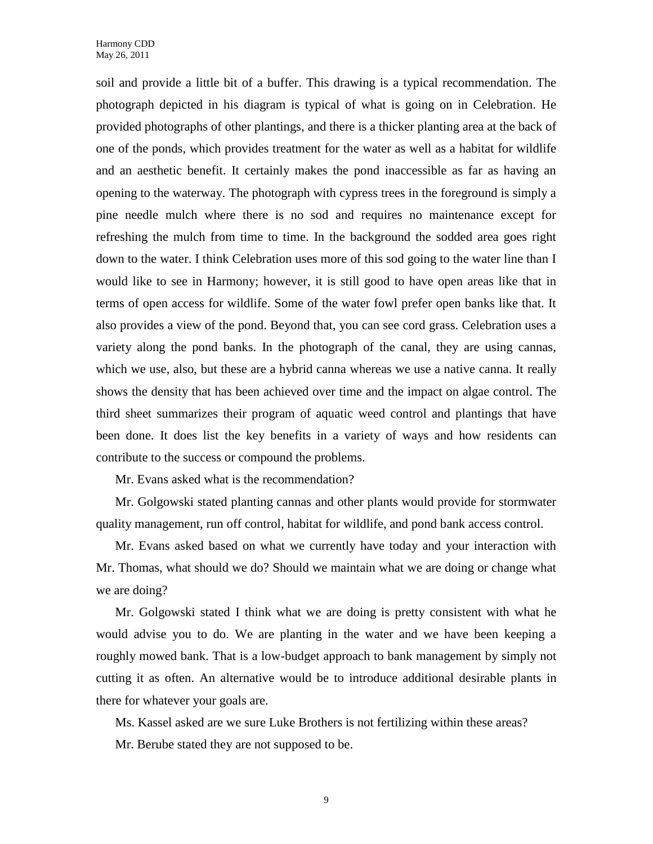soil and provide a little bit of a buffer. This drawing is a typical recommendation. The photograph depicted in his diagram is typical of what is going on in Celebration. He provided photographs of other plantings, and there is a thicker planting area at the back of one of the ponds, which provides treatment for the water as well as a habitat for wildlife and an aesthetic benefit. It certainly makes the pond inaccessible as far as having an opening to the waterway. The photograph with cypress trees in the foreground is simply a pine needle mulch where there is no sod and requires no maintenance except for refreshing the mulch from time to time. In the background the sodded area goes right down to the water. I think Celebration uses more of this sod going to the water line than I would like to see in Harmony; however, it is still good to have open areas like that in terms of open access for wildlife. Some of the water fowl prefer open banks like that. It also provides a view of the pond. Beyond that, you can see cord grass. Celebration uses a variety along the pond banks. In the photograph of the canal, they are using cannas, which we use, also, but these are a hybrid canna whereas we use a native canna. It really shows the density that has been achieved over time and the impact on algae control. The third sheet summarizes their program of aquatic weed control and plantings that have been done. It does list the key benefits in a variety of ways and how residents can contribute to the success or compound the problems.

Mr. Evans asked what is the recommendation?

Mr. Golgowski stated planting cannas and other plants would provide for stormwater quality management, run off control, habitat for wildlife, and pond bank access control.

Mr. Evans asked based on what we currently have today and your interaction with Mr. Thomas, what should we do? Should we maintain what we are doing or change what we are doing?

Mr. Golgowski stated I think what we are doing is pretty consistent with what he would advise you to do. We are planting in the water and we have been keeping a roughly mowed bank. That is a low-budget approach to bank management by simply not cutting it as often. An alternative would be to introduce additional desirable plants in there for whatever your goals are.

Ms. Kassel asked are we sure Luke Brothers is not fertilizing within these areas? Mr. Berube stated they are not supposed to be.

9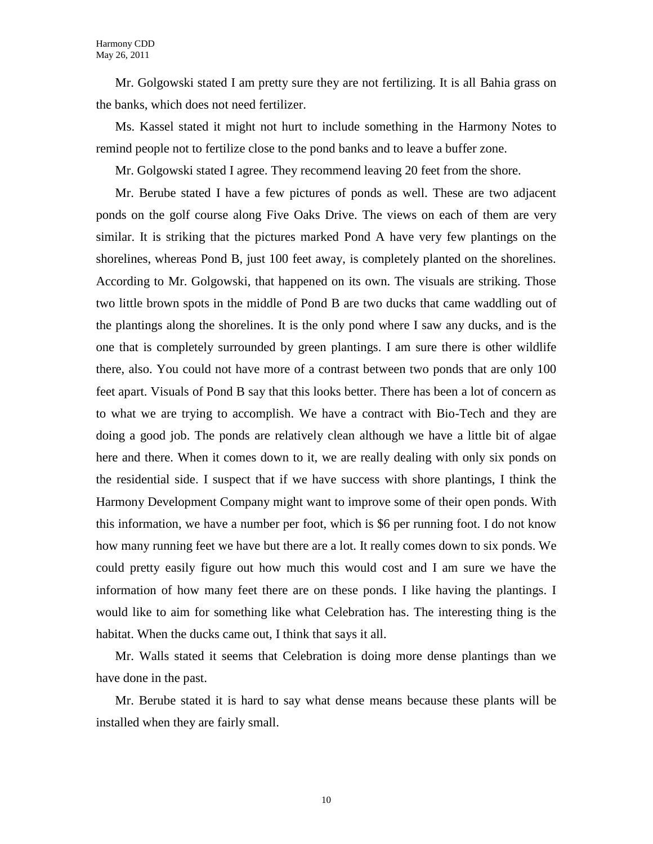Mr. Golgowski stated I am pretty sure they are not fertilizing. It is all Bahia grass on the banks, which does not need fertilizer.

Ms. Kassel stated it might not hurt to include something in the Harmony Notes to remind people not to fertilize close to the pond banks and to leave a buffer zone.

Mr. Golgowski stated I agree. They recommend leaving 20 feet from the shore.

Mr. Berube stated I have a few pictures of ponds as well. These are two adjacent ponds on the golf course along Five Oaks Drive. The views on each of them are very similar. It is striking that the pictures marked Pond A have very few plantings on the shorelines, whereas Pond B, just 100 feet away, is completely planted on the shorelines. According to Mr. Golgowski, that happened on its own. The visuals are striking. Those two little brown spots in the middle of Pond B are two ducks that came waddling out of the plantings along the shorelines. It is the only pond where I saw any ducks, and is the one that is completely surrounded by green plantings. I am sure there is other wildlife there, also. You could not have more of a contrast between two ponds that are only 100 feet apart. Visuals of Pond B say that this looks better. There has been a lot of concern as to what we are trying to accomplish. We have a contract with Bio-Tech and they are doing a good job. The ponds are relatively clean although we have a little bit of algae here and there. When it comes down to it, we are really dealing with only six ponds on the residential side. I suspect that if we have success with shore plantings, I think the Harmony Development Company might want to improve some of their open ponds. With this information, we have a number per foot, which is \$6 per running foot. I do not know how many running feet we have but there are a lot. It really comes down to six ponds. We could pretty easily figure out how much this would cost and I am sure we have the information of how many feet there are on these ponds. I like having the plantings. I would like to aim for something like what Celebration has. The interesting thing is the habitat. When the ducks came out, I think that says it all.

Mr. Walls stated it seems that Celebration is doing more dense plantings than we have done in the past.

Mr. Berube stated it is hard to say what dense means because these plants will be installed when they are fairly small.

10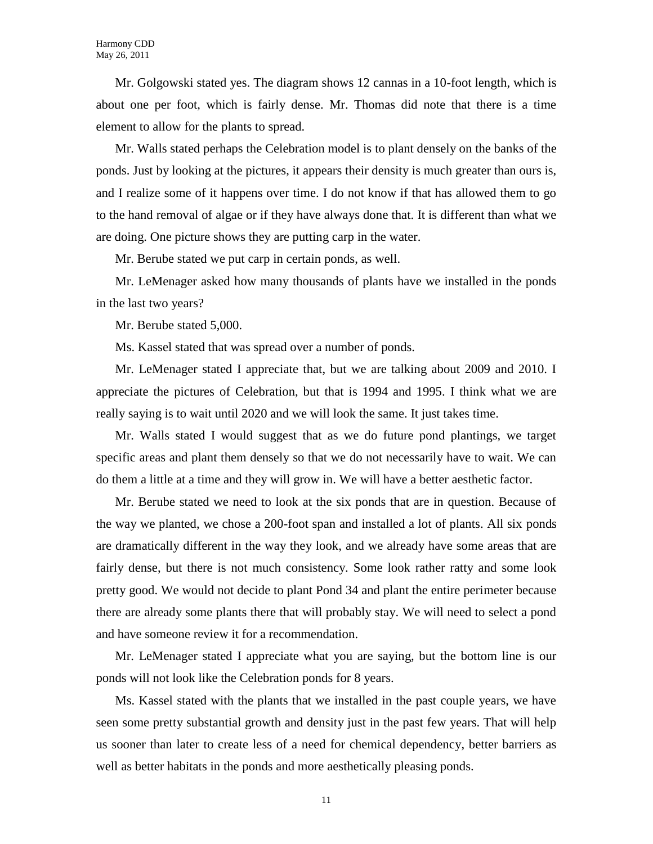Mr. Golgowski stated yes. The diagram shows 12 cannas in a 10-foot length, which is about one per foot, which is fairly dense. Mr. Thomas did note that there is a time element to allow for the plants to spread.

Mr. Walls stated perhaps the Celebration model is to plant densely on the banks of the ponds. Just by looking at the pictures, it appears their density is much greater than ours is, and I realize some of it happens over time. I do not know if that has allowed them to go to the hand removal of algae or if they have always done that. It is different than what we are doing. One picture shows they are putting carp in the water.

Mr. Berube stated we put carp in certain ponds, as well.

Mr. LeMenager asked how many thousands of plants have we installed in the ponds in the last two years?

Mr. Berube stated 5,000.

Ms. Kassel stated that was spread over a number of ponds.

Mr. LeMenager stated I appreciate that, but we are talking about 2009 and 2010. I appreciate the pictures of Celebration, but that is 1994 and 1995. I think what we are really saying is to wait until 2020 and we will look the same. It just takes time.

Mr. Walls stated I would suggest that as we do future pond plantings, we target specific areas and plant them densely so that we do not necessarily have to wait. We can do them a little at a time and they will grow in. We will have a better aesthetic factor.

Mr. Berube stated we need to look at the six ponds that are in question. Because of the way we planted, we chose a 200-foot span and installed a lot of plants. All six ponds are dramatically different in the way they look, and we already have some areas that are fairly dense, but there is not much consistency. Some look rather ratty and some look pretty good. We would not decide to plant Pond 34 and plant the entire perimeter because there are already some plants there that will probably stay. We will need to select a pond and have someone review it for a recommendation.

Mr. LeMenager stated I appreciate what you are saying, but the bottom line is our ponds will not look like the Celebration ponds for 8 years.

Ms. Kassel stated with the plants that we installed in the past couple years, we have seen some pretty substantial growth and density just in the past few years. That will help us sooner than later to create less of a need for chemical dependency, better barriers as well as better habitats in the ponds and more aesthetically pleasing ponds.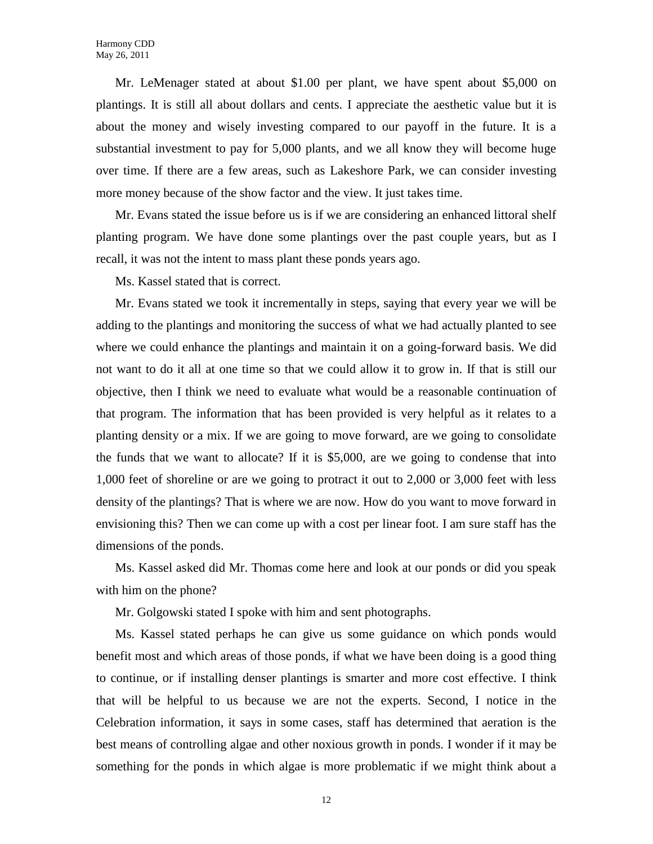Mr. LeMenager stated at about \$1.00 per plant, we have spent about \$5,000 on plantings. It is still all about dollars and cents. I appreciate the aesthetic value but it is about the money and wisely investing compared to our payoff in the future. It is a substantial investment to pay for 5,000 plants, and we all know they will become huge over time. If there are a few areas, such as Lakeshore Park, we can consider investing more money because of the show factor and the view. It just takes time.

Mr. Evans stated the issue before us is if we are considering an enhanced littoral shelf planting program. We have done some plantings over the past couple years, but as I recall, it was not the intent to mass plant these ponds years ago.

Ms. Kassel stated that is correct.

Mr. Evans stated we took it incrementally in steps, saying that every year we will be adding to the plantings and monitoring the success of what we had actually planted to see where we could enhance the plantings and maintain it on a going-forward basis. We did not want to do it all at one time so that we could allow it to grow in. If that is still our objective, then I think we need to evaluate what would be a reasonable continuation of that program. The information that has been provided is very helpful as it relates to a planting density or a mix. If we are going to move forward, are we going to consolidate the funds that we want to allocate? If it is \$5,000, are we going to condense that into 1,000 feet of shoreline or are we going to protract it out to 2,000 or 3,000 feet with less density of the plantings? That is where we are now. How do you want to move forward in envisioning this? Then we can come up with a cost per linear foot. I am sure staff has the dimensions of the ponds.

Ms. Kassel asked did Mr. Thomas come here and look at our ponds or did you speak with him on the phone?

Mr. Golgowski stated I spoke with him and sent photographs.

Ms. Kassel stated perhaps he can give us some guidance on which ponds would benefit most and which areas of those ponds, if what we have been doing is a good thing to continue, or if installing denser plantings is smarter and more cost effective. I think that will be helpful to us because we are not the experts. Second, I notice in the Celebration information, it says in some cases, staff has determined that aeration is the best means of controlling algae and other noxious growth in ponds. I wonder if it may be something for the ponds in which algae is more problematic if we might think about a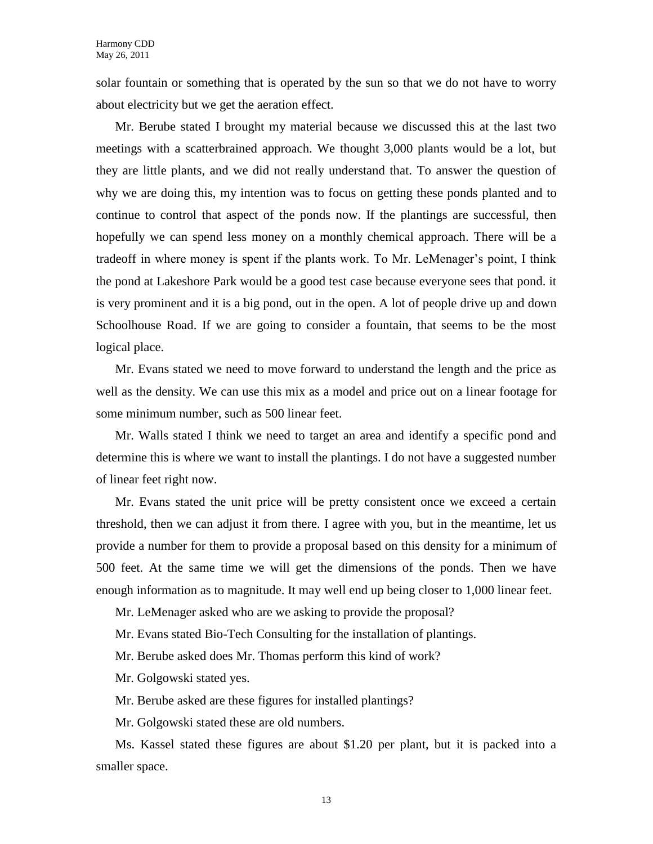solar fountain or something that is operated by the sun so that we do not have to worry about electricity but we get the aeration effect.

Mr. Berube stated I brought my material because we discussed this at the last two meetings with a scatterbrained approach. We thought 3,000 plants would be a lot, but they are little plants, and we did not really understand that. To answer the question of why we are doing this, my intention was to focus on getting these ponds planted and to continue to control that aspect of the ponds now. If the plantings are successful, then hopefully we can spend less money on a monthly chemical approach. There will be a tradeoff in where money is spent if the plants work. To Mr. LeMenager's point, I think the pond at Lakeshore Park would be a good test case because everyone sees that pond. it is very prominent and it is a big pond, out in the open. A lot of people drive up and down Schoolhouse Road. If we are going to consider a fountain, that seems to be the most logical place.

Mr. Evans stated we need to move forward to understand the length and the price as well as the density. We can use this mix as a model and price out on a linear footage for some minimum number, such as 500 linear feet.

Mr. Walls stated I think we need to target an area and identify a specific pond and determine this is where we want to install the plantings. I do not have a suggested number of linear feet right now.

Mr. Evans stated the unit price will be pretty consistent once we exceed a certain threshold, then we can adjust it from there. I agree with you, but in the meantime, let us provide a number for them to provide a proposal based on this density for a minimum of 500 feet. At the same time we will get the dimensions of the ponds. Then we have enough information as to magnitude. It may well end up being closer to 1,000 linear feet.

Mr. LeMenager asked who are we asking to provide the proposal?

Mr. Evans stated Bio-Tech Consulting for the installation of plantings.

Mr. Berube asked does Mr. Thomas perform this kind of work?

Mr. Golgowski stated yes.

Mr. Berube asked are these figures for installed plantings?

Mr. Golgowski stated these are old numbers.

Ms. Kassel stated these figures are about \$1.20 per plant, but it is packed into a smaller space.

13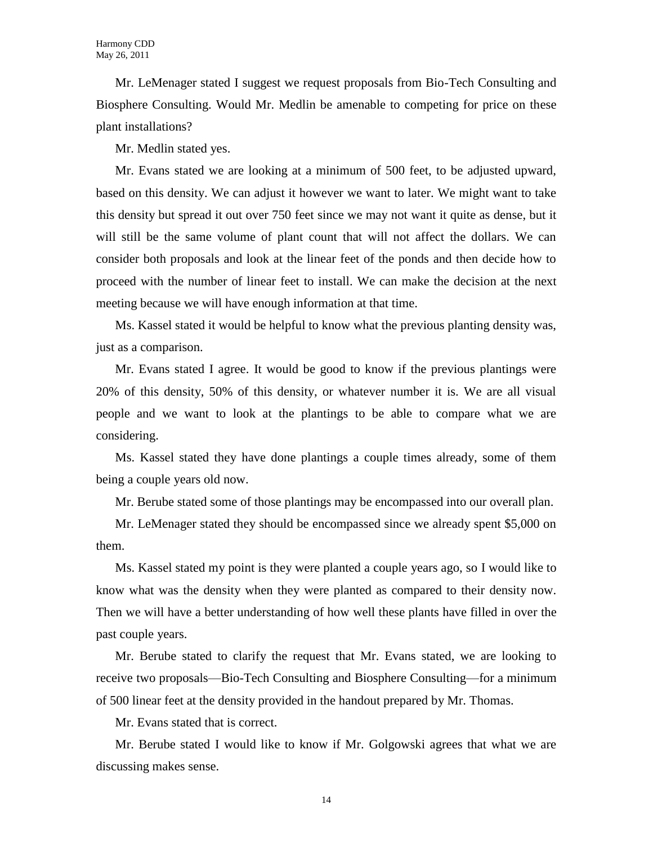Mr. LeMenager stated I suggest we request proposals from Bio-Tech Consulting and Biosphere Consulting. Would Mr. Medlin be amenable to competing for price on these plant installations?

Mr. Medlin stated yes.

Mr. Evans stated we are looking at a minimum of 500 feet, to be adjusted upward, based on this density. We can adjust it however we want to later. We might want to take this density but spread it out over 750 feet since we may not want it quite as dense, but it will still be the same volume of plant count that will not affect the dollars. We can consider both proposals and look at the linear feet of the ponds and then decide how to proceed with the number of linear feet to install. We can make the decision at the next meeting because we will have enough information at that time.

Ms. Kassel stated it would be helpful to know what the previous planting density was, just as a comparison.

Mr. Evans stated I agree. It would be good to know if the previous plantings were 20% of this density, 50% of this density, or whatever number it is. We are all visual people and we want to look at the plantings to be able to compare what we are considering.

Ms. Kassel stated they have done plantings a couple times already, some of them being a couple years old now.

Mr. Berube stated some of those plantings may be encompassed into our overall plan.

Mr. LeMenager stated they should be encompassed since we already spent \$5,000 on them.

Ms. Kassel stated my point is they were planted a couple years ago, so I would like to know what was the density when they were planted as compared to their density now. Then we will have a better understanding of how well these plants have filled in over the past couple years.

Mr. Berube stated to clarify the request that Mr. Evans stated, we are looking to receive two proposals—Bio-Tech Consulting and Biosphere Consulting—for a minimum of 500 linear feet at the density provided in the handout prepared by Mr. Thomas.

Mr. Evans stated that is correct.

Mr. Berube stated I would like to know if Mr. Golgowski agrees that what we are discussing makes sense.

14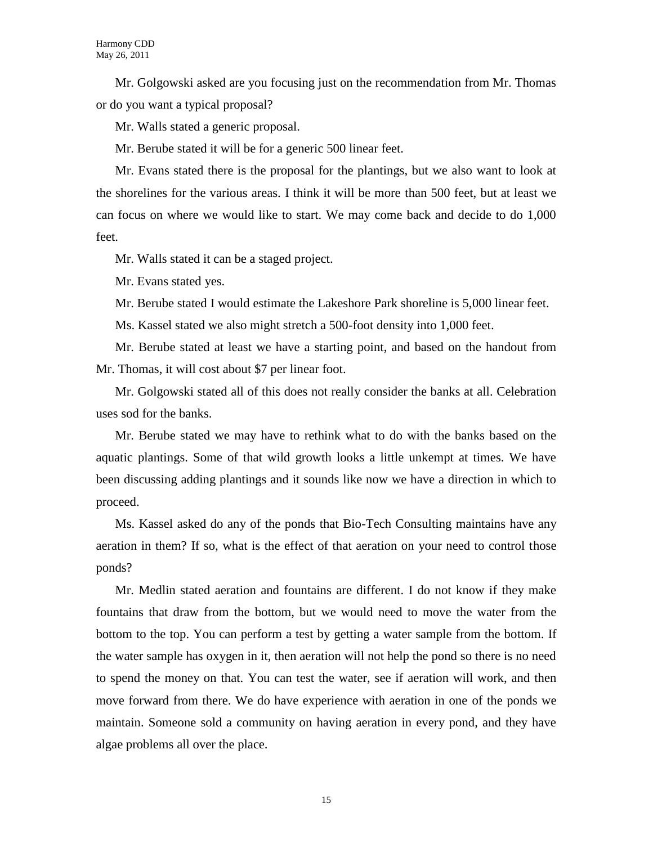Mr. Golgowski asked are you focusing just on the recommendation from Mr. Thomas or do you want a typical proposal?

Mr. Walls stated a generic proposal.

Mr. Berube stated it will be for a generic 500 linear feet.

Mr. Evans stated there is the proposal for the plantings, but we also want to look at the shorelines for the various areas. I think it will be more than 500 feet, but at least we can focus on where we would like to start. We may come back and decide to do 1,000 feet.

Mr. Walls stated it can be a staged project.

Mr. Evans stated yes.

Mr. Berube stated I would estimate the Lakeshore Park shoreline is 5,000 linear feet.

Ms. Kassel stated we also might stretch a 500-foot density into 1,000 feet.

Mr. Berube stated at least we have a starting point, and based on the handout from Mr. Thomas, it will cost about \$7 per linear foot.

Mr. Golgowski stated all of this does not really consider the banks at all. Celebration uses sod for the banks.

Mr. Berube stated we may have to rethink what to do with the banks based on the aquatic plantings. Some of that wild growth looks a little unkempt at times. We have been discussing adding plantings and it sounds like now we have a direction in which to proceed.

Ms. Kassel asked do any of the ponds that Bio-Tech Consulting maintains have any aeration in them? If so, what is the effect of that aeration on your need to control those ponds?

Mr. Medlin stated aeration and fountains are different. I do not know if they make fountains that draw from the bottom, but we would need to move the water from the bottom to the top. You can perform a test by getting a water sample from the bottom. If the water sample has oxygen in it, then aeration will not help the pond so there is no need to spend the money on that. You can test the water, see if aeration will work, and then move forward from there. We do have experience with aeration in one of the ponds we maintain. Someone sold a community on having aeration in every pond, and they have algae problems all over the place.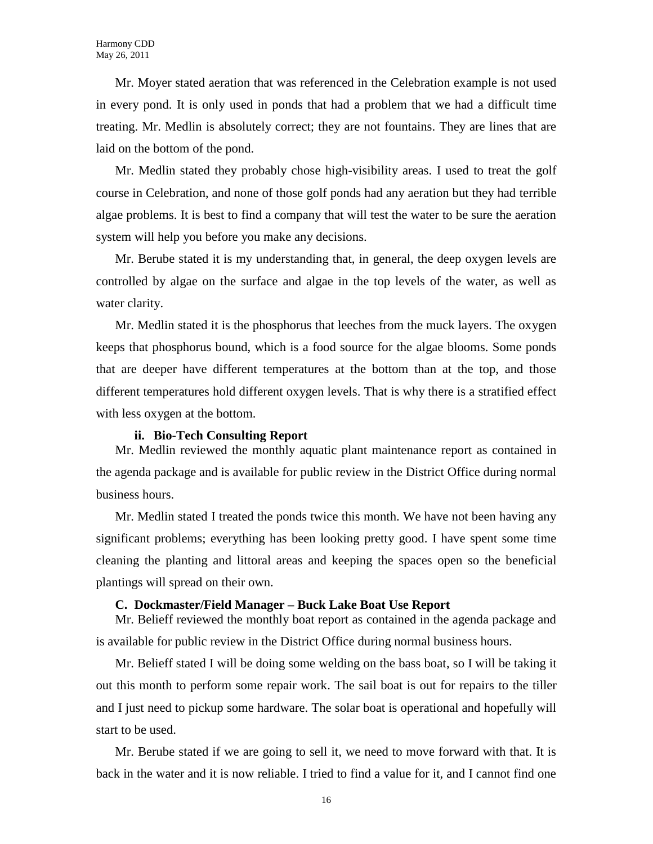Mr. Moyer stated aeration that was referenced in the Celebration example is not used in every pond. It is only used in ponds that had a problem that we had a difficult time treating. Mr. Medlin is absolutely correct; they are not fountains. They are lines that are laid on the bottom of the pond.

Mr. Medlin stated they probably chose high-visibility areas. I used to treat the golf course in Celebration, and none of those golf ponds had any aeration but they had terrible algae problems. It is best to find a company that will test the water to be sure the aeration system will help you before you make any decisions.

Mr. Berube stated it is my understanding that, in general, the deep oxygen levels are controlled by algae on the surface and algae in the top levels of the water, as well as water clarity.

Mr. Medlin stated it is the phosphorus that leeches from the muck layers. The oxygen keeps that phosphorus bound, which is a food source for the algae blooms. Some ponds that are deeper have different temperatures at the bottom than at the top, and those different temperatures hold different oxygen levels. That is why there is a stratified effect with less oxygen at the bottom.

#### **ii. Bio-Tech Consulting Report**

Mr. Medlin reviewed the monthly aquatic plant maintenance report as contained in the agenda package and is available for public review in the District Office during normal business hours.

Mr. Medlin stated I treated the ponds twice this month. We have not been having any significant problems; everything has been looking pretty good. I have spent some time cleaning the planting and littoral areas and keeping the spaces open so the beneficial plantings will spread on their own.

#### **C. Dockmaster/Field Manager – Buck Lake Boat Use Report**

Mr. Belieff reviewed the monthly boat report as contained in the agenda package and is available for public review in the District Office during normal business hours.

Mr. Belieff stated I will be doing some welding on the bass boat, so I will be taking it out this month to perform some repair work. The sail boat is out for repairs to the tiller and I just need to pickup some hardware. The solar boat is operational and hopefully will start to be used.

Mr. Berube stated if we are going to sell it, we need to move forward with that. It is back in the water and it is now reliable. I tried to find a value for it, and I cannot find one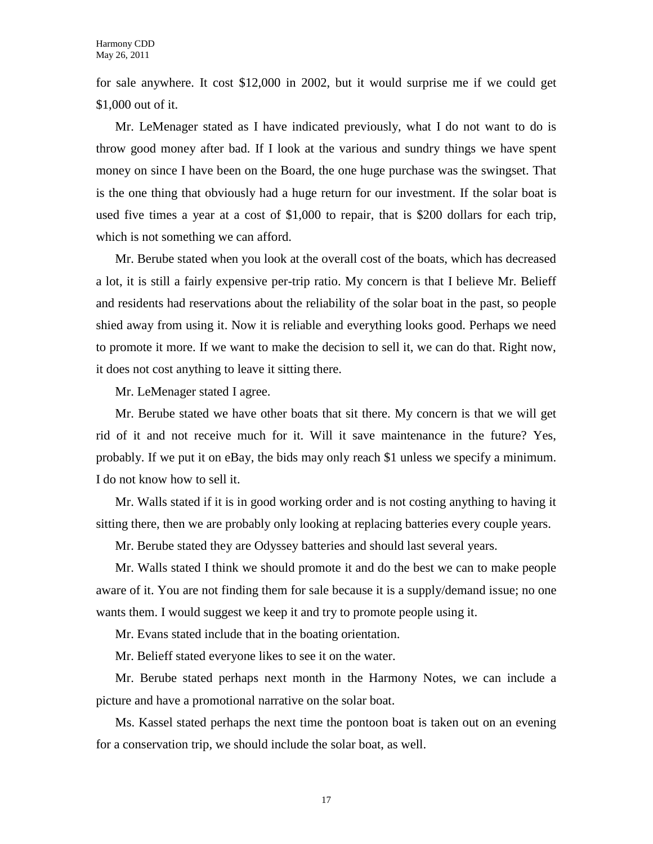for sale anywhere. It cost \$12,000 in 2002, but it would surprise me if we could get \$1,000 out of it.

Mr. LeMenager stated as I have indicated previously, what I do not want to do is throw good money after bad. If I look at the various and sundry things we have spent money on since I have been on the Board, the one huge purchase was the swingset. That is the one thing that obviously had a huge return for our investment. If the solar boat is used five times a year at a cost of \$1,000 to repair, that is \$200 dollars for each trip, which is not something we can afford.

Mr. Berube stated when you look at the overall cost of the boats, which has decreased a lot, it is still a fairly expensive per-trip ratio. My concern is that I believe Mr. Belieff and residents had reservations about the reliability of the solar boat in the past, so people shied away from using it. Now it is reliable and everything looks good. Perhaps we need to promote it more. If we want to make the decision to sell it, we can do that. Right now, it does not cost anything to leave it sitting there.

Mr. LeMenager stated I agree.

Mr. Berube stated we have other boats that sit there. My concern is that we will get rid of it and not receive much for it. Will it save maintenance in the future? Yes, probably. If we put it on eBay, the bids may only reach \$1 unless we specify a minimum. I do not know how to sell it.

Mr. Walls stated if it is in good working order and is not costing anything to having it sitting there, then we are probably only looking at replacing batteries every couple years.

Mr. Berube stated they are Odyssey batteries and should last several years.

Mr. Walls stated I think we should promote it and do the best we can to make people aware of it. You are not finding them for sale because it is a supply/demand issue; no one wants them. I would suggest we keep it and try to promote people using it.

Mr. Evans stated include that in the boating orientation.

Mr. Belieff stated everyone likes to see it on the water.

Mr. Berube stated perhaps next month in the Harmony Notes, we can include a picture and have a promotional narrative on the solar boat.

Ms. Kassel stated perhaps the next time the pontoon boat is taken out on an evening for a conservation trip, we should include the solar boat, as well.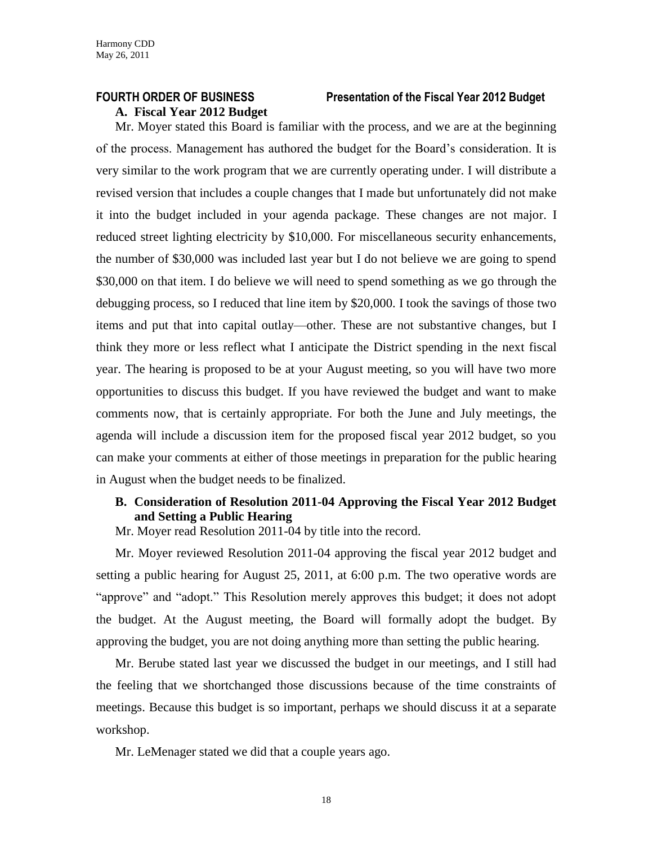# **A. Fiscal Year 2012 Budget**

# **FOURTH ORDER OF BUSINESS Presentation of the Fiscal Year 2012 Budget**

Mr. Moyer stated this Board is familiar with the process, and we are at the beginning of the process. Management has authored the budget for the Board's consideration. It is very similar to the work program that we are currently operating under. I will distribute a revised version that includes a couple changes that I made but unfortunately did not make it into the budget included in your agenda package. These changes are not major. I reduced street lighting electricity by \$10,000. For miscellaneous security enhancements, the number of \$30,000 was included last year but I do not believe we are going to spend \$30,000 on that item. I do believe we will need to spend something as we go through the debugging process, so I reduced that line item by \$20,000. I took the savings of those two items and put that into capital outlay—other. These are not substantive changes, but I think they more or less reflect what I anticipate the District spending in the next fiscal year. The hearing is proposed to be at your August meeting, so you will have two more opportunities to discuss this budget. If you have reviewed the budget and want to make comments now, that is certainly appropriate. For both the June and July meetings, the agenda will include a discussion item for the proposed fiscal year 2012 budget, so you can make your comments at either of those meetings in preparation for the public hearing in August when the budget needs to be finalized.

# **B. Consideration of Resolution 2011-04 Approving the Fiscal Year 2012 Budget and Setting a Public Hearing**

Mr. Moyer read Resolution 2011-04 by title into the record.

Mr. Moyer reviewed Resolution 2011-04 approving the fiscal year 2012 budget and setting a public hearing for August 25, 2011, at 6:00 p.m. The two operative words are "approve" and "adopt." This Resolution merely approves this budget; it does not adopt the budget. At the August meeting, the Board will formally adopt the budget. By approving the budget, you are not doing anything more than setting the public hearing.

Mr. Berube stated last year we discussed the budget in our meetings, and I still had the feeling that we shortchanged those discussions because of the time constraints of meetings. Because this budget is so important, perhaps we should discuss it at a separate workshop.

Mr. LeMenager stated we did that a couple years ago.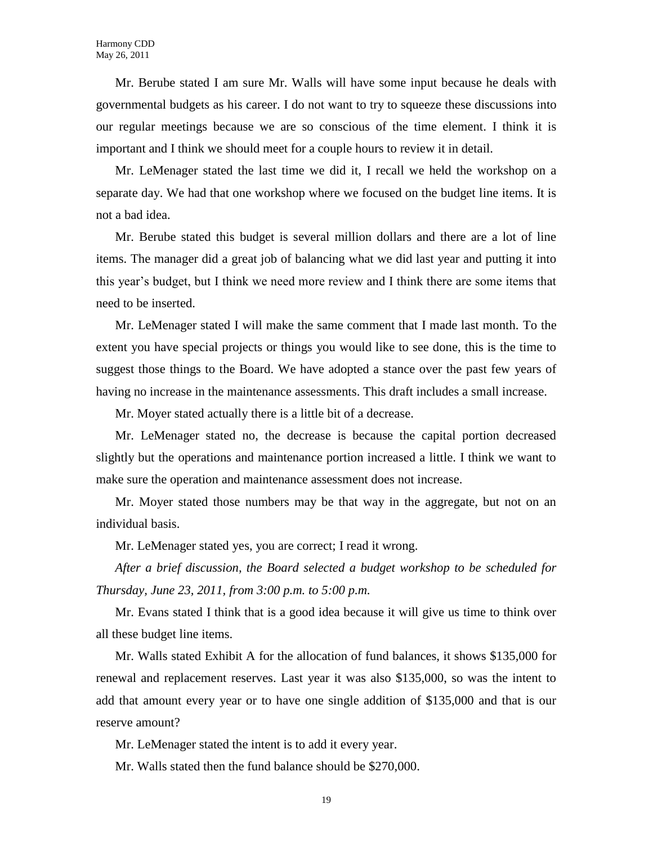Mr. Berube stated I am sure Mr. Walls will have some input because he deals with governmental budgets as his career. I do not want to try to squeeze these discussions into our regular meetings because we are so conscious of the time element. I think it is important and I think we should meet for a couple hours to review it in detail.

Mr. LeMenager stated the last time we did it, I recall we held the workshop on a separate day. We had that one workshop where we focused on the budget line items. It is not a bad idea.

Mr. Berube stated this budget is several million dollars and there are a lot of line items. The manager did a great job of balancing what we did last year and putting it into this year's budget, but I think we need more review and I think there are some items that need to be inserted.

Mr. LeMenager stated I will make the same comment that I made last month. To the extent you have special projects or things you would like to see done, this is the time to suggest those things to the Board. We have adopted a stance over the past few years of having no increase in the maintenance assessments. This draft includes a small increase.

Mr. Moyer stated actually there is a little bit of a decrease.

Mr. LeMenager stated no, the decrease is because the capital portion decreased slightly but the operations and maintenance portion increased a little. I think we want to make sure the operation and maintenance assessment does not increase.

Mr. Moyer stated those numbers may be that way in the aggregate, but not on an individual basis.

Mr. LeMenager stated yes, you are correct; I read it wrong.

*After a brief discussion, the Board selected a budget workshop to be scheduled for Thursday, June 23, 2011, from 3:00 p.m. to 5:00 p.m.*

Mr. Evans stated I think that is a good idea because it will give us time to think over all these budget line items.

Mr. Walls stated Exhibit A for the allocation of fund balances, it shows \$135,000 for renewal and replacement reserves. Last year it was also \$135,000, so was the intent to add that amount every year or to have one single addition of \$135,000 and that is our reserve amount?

Mr. LeMenager stated the intent is to add it every year.

Mr. Walls stated then the fund balance should be \$270,000.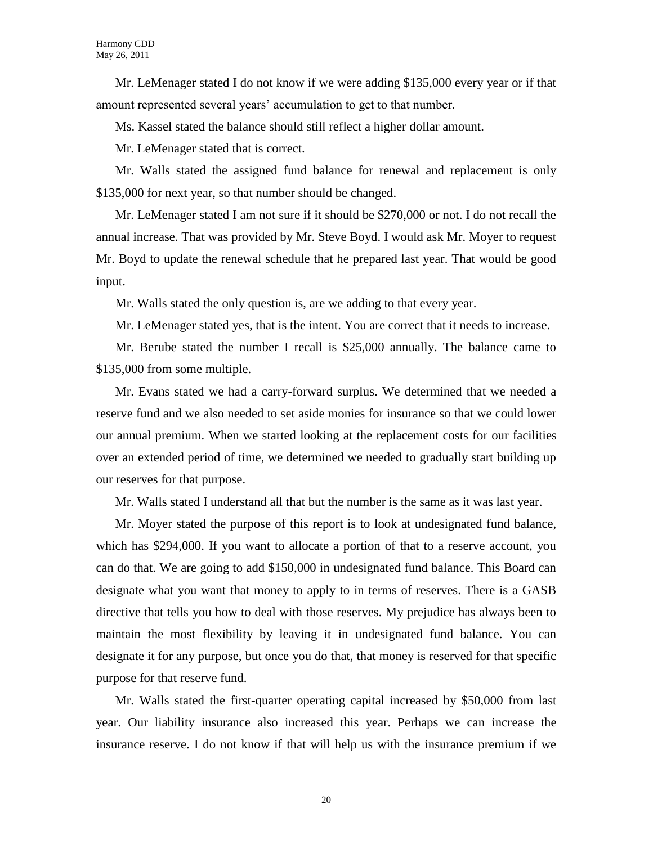Mr. LeMenager stated I do not know if we were adding \$135,000 every year or if that amount represented several years' accumulation to get to that number.

Ms. Kassel stated the balance should still reflect a higher dollar amount.

Mr. LeMenager stated that is correct.

Mr. Walls stated the assigned fund balance for renewal and replacement is only \$135,000 for next year, so that number should be changed.

Mr. LeMenager stated I am not sure if it should be \$270,000 or not. I do not recall the annual increase. That was provided by Mr. Steve Boyd. I would ask Mr. Moyer to request Mr. Boyd to update the renewal schedule that he prepared last year. That would be good input.

Mr. Walls stated the only question is, are we adding to that every year.

Mr. LeMenager stated yes, that is the intent. You are correct that it needs to increase.

Mr. Berube stated the number I recall is \$25,000 annually. The balance came to \$135,000 from some multiple.

Mr. Evans stated we had a carry-forward surplus. We determined that we needed a reserve fund and we also needed to set aside monies for insurance so that we could lower our annual premium. When we started looking at the replacement costs for our facilities over an extended period of time, we determined we needed to gradually start building up our reserves for that purpose.

Mr. Walls stated I understand all that but the number is the same as it was last year.

Mr. Moyer stated the purpose of this report is to look at undesignated fund balance, which has \$294,000. If you want to allocate a portion of that to a reserve account, you can do that. We are going to add \$150,000 in undesignated fund balance. This Board can designate what you want that money to apply to in terms of reserves. There is a GASB directive that tells you how to deal with those reserves. My prejudice has always been to maintain the most flexibility by leaving it in undesignated fund balance. You can designate it for any purpose, but once you do that, that money is reserved for that specific purpose for that reserve fund.

Mr. Walls stated the first-quarter operating capital increased by \$50,000 from last year. Our liability insurance also increased this year. Perhaps we can increase the insurance reserve. I do not know if that will help us with the insurance premium if we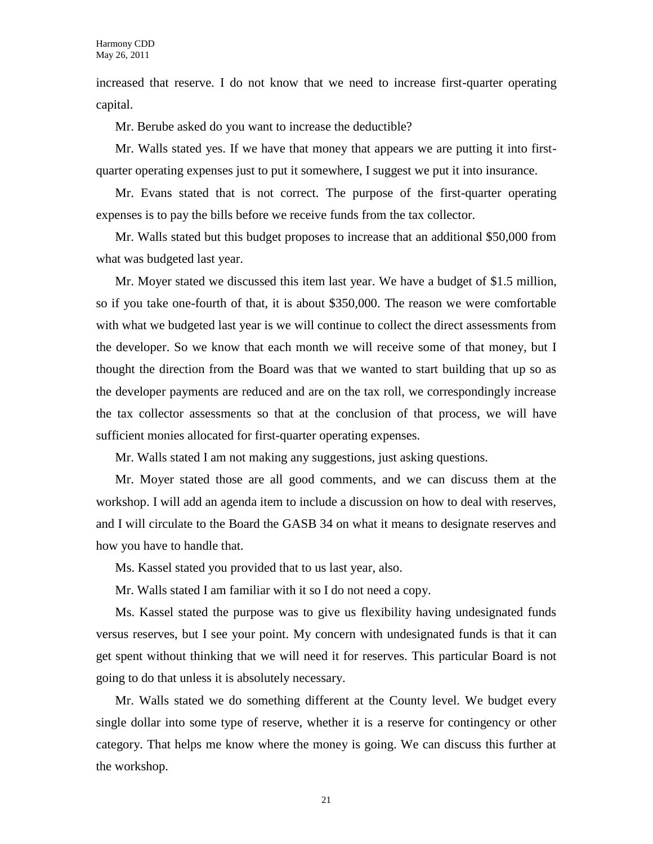increased that reserve. I do not know that we need to increase first-quarter operating capital.

Mr. Berube asked do you want to increase the deductible?

Mr. Walls stated yes. If we have that money that appears we are putting it into firstquarter operating expenses just to put it somewhere, I suggest we put it into insurance.

Mr. Evans stated that is not correct. The purpose of the first-quarter operating expenses is to pay the bills before we receive funds from the tax collector.

Mr. Walls stated but this budget proposes to increase that an additional \$50,000 from what was budgeted last year.

Mr. Moyer stated we discussed this item last year. We have a budget of \$1.5 million, so if you take one-fourth of that, it is about \$350,000. The reason we were comfortable with what we budgeted last year is we will continue to collect the direct assessments from the developer. So we know that each month we will receive some of that money, but I thought the direction from the Board was that we wanted to start building that up so as the developer payments are reduced and are on the tax roll, we correspondingly increase the tax collector assessments so that at the conclusion of that process, we will have sufficient monies allocated for first-quarter operating expenses.

Mr. Walls stated I am not making any suggestions, just asking questions.

Mr. Moyer stated those are all good comments, and we can discuss them at the workshop. I will add an agenda item to include a discussion on how to deal with reserves, and I will circulate to the Board the GASB 34 on what it means to designate reserves and how you have to handle that.

Ms. Kassel stated you provided that to us last year, also.

Mr. Walls stated I am familiar with it so I do not need a copy.

Ms. Kassel stated the purpose was to give us flexibility having undesignated funds versus reserves, but I see your point. My concern with undesignated funds is that it can get spent without thinking that we will need it for reserves. This particular Board is not going to do that unless it is absolutely necessary.

Mr. Walls stated we do something different at the County level. We budget every single dollar into some type of reserve, whether it is a reserve for contingency or other category. That helps me know where the money is going. We can discuss this further at the workshop.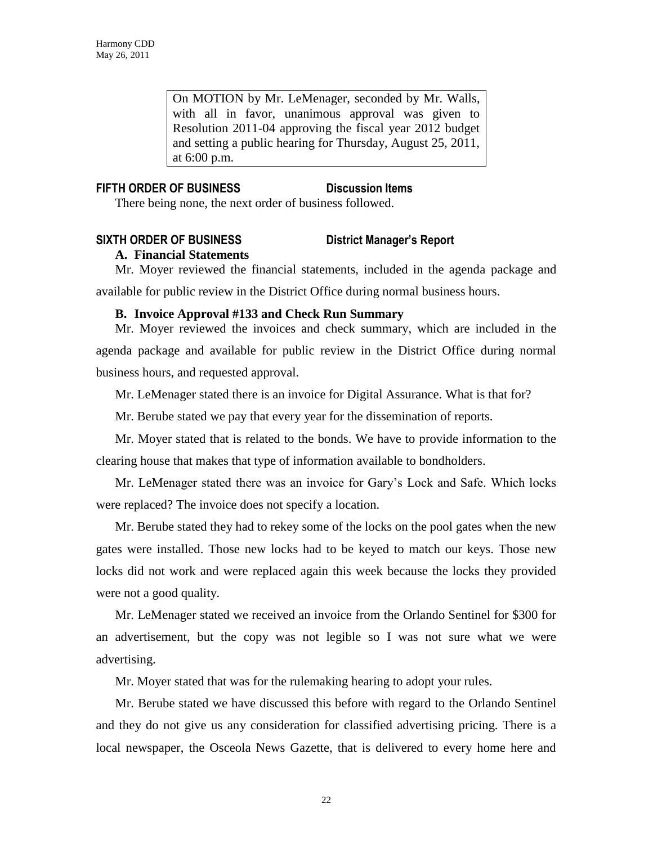On MOTION by Mr. LeMenager, seconded by Mr. Walls, with all in favor, unanimous approval was given to Resolution 2011-04 approving the fiscal year 2012 budget and setting a public hearing for Thursday, August 25, 2011, at 6:00 p.m.

# **FIFTH ORDER OF BUSINESS Discussion Items**

There being none, the next order of business followed.

# **SIXTH ORDER OF BUSINESS District Manager's Report**

# **A. Financial Statements**

Mr. Moyer reviewed the financial statements, included in the agenda package and available for public review in the District Office during normal business hours.

# **B. Invoice Approval #133 and Check Run Summary**

Mr. Moyer reviewed the invoices and check summary, which are included in the agenda package and available for public review in the District Office during normal business hours, and requested approval.

Mr. LeMenager stated there is an invoice for Digital Assurance. What is that for?

Mr. Berube stated we pay that every year for the dissemination of reports.

Mr. Moyer stated that is related to the bonds. We have to provide information to the clearing house that makes that type of information available to bondholders.

Mr. LeMenager stated there was an invoice for Gary's Lock and Safe. Which locks were replaced? The invoice does not specify a location.

Mr. Berube stated they had to rekey some of the locks on the pool gates when the new gates were installed. Those new locks had to be keyed to match our keys. Those new locks did not work and were replaced again this week because the locks they provided were not a good quality.

Mr. LeMenager stated we received an invoice from the Orlando Sentinel for \$300 for an advertisement, but the copy was not legible so I was not sure what we were advertising.

Mr. Moyer stated that was for the rulemaking hearing to adopt your rules.

Mr. Berube stated we have discussed this before with regard to the Orlando Sentinel and they do not give us any consideration for classified advertising pricing. There is a local newspaper, the Osceola News Gazette, that is delivered to every home here and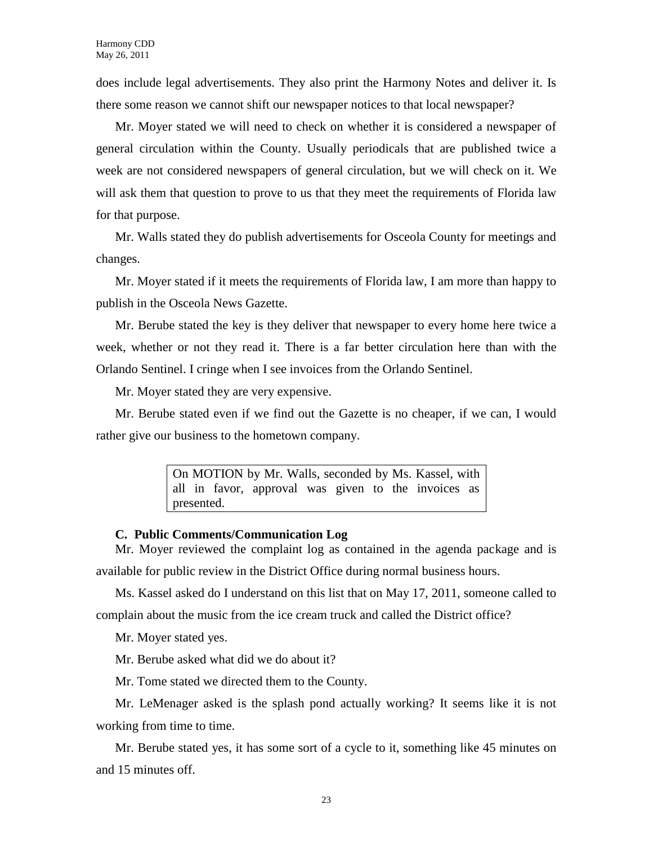does include legal advertisements. They also print the Harmony Notes and deliver it. Is there some reason we cannot shift our newspaper notices to that local newspaper?

Mr. Moyer stated we will need to check on whether it is considered a newspaper of general circulation within the County. Usually periodicals that are published twice a week are not considered newspapers of general circulation, but we will check on it. We will ask them that question to prove to us that they meet the requirements of Florida law for that purpose.

Mr. Walls stated they do publish advertisements for Osceola County for meetings and changes.

Mr. Moyer stated if it meets the requirements of Florida law, I am more than happy to publish in the Osceola News Gazette.

Mr. Berube stated the key is they deliver that newspaper to every home here twice a week, whether or not they read it. There is a far better circulation here than with the Orlando Sentinel. I cringe when I see invoices from the Orlando Sentinel.

Mr. Moyer stated they are very expensive.

Mr. Berube stated even if we find out the Gazette is no cheaper, if we can, I would rather give our business to the hometown company.

> On MOTION by Mr. Walls, seconded by Ms. Kassel, with all in favor, approval was given to the invoices as presented.

#### **C. Public Comments/Communication Log**

Mr. Moyer reviewed the complaint log as contained in the agenda package and is available for public review in the District Office during normal business hours.

Ms. Kassel asked do I understand on this list that on May 17, 2011, someone called to complain about the music from the ice cream truck and called the District office?

Mr. Moyer stated yes.

Mr. Berube asked what did we do about it?

Mr. Tome stated we directed them to the County.

Mr. LeMenager asked is the splash pond actually working? It seems like it is not working from time to time.

Mr. Berube stated yes, it has some sort of a cycle to it, something like 45 minutes on and 15 minutes off.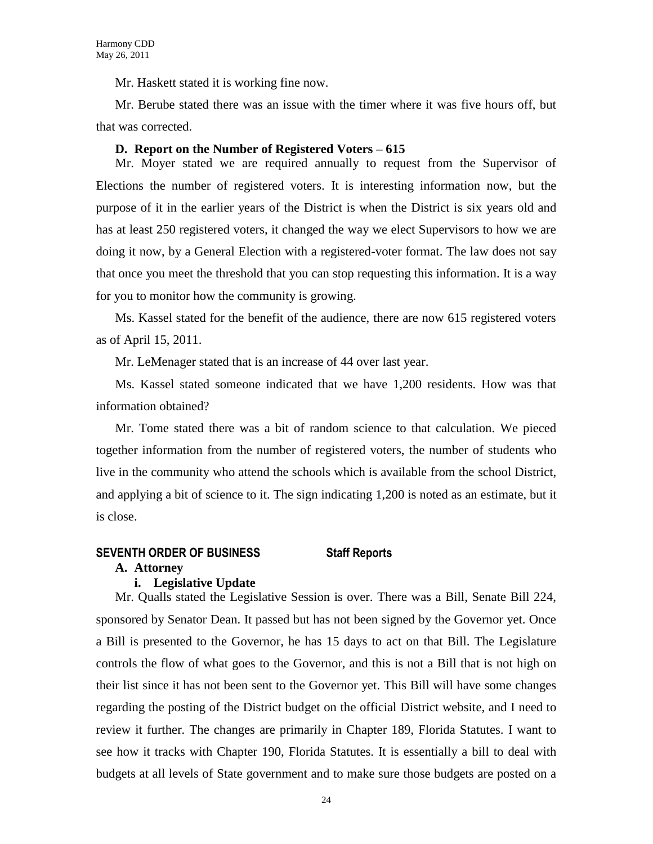Mr. Haskett stated it is working fine now.

Mr. Berube stated there was an issue with the timer where it was five hours off, but that was corrected.

#### **D. Report on the Number of Registered Voters – 615**

Mr. Moyer stated we are required annually to request from the Supervisor of Elections the number of registered voters. It is interesting information now, but the purpose of it in the earlier years of the District is when the District is six years old and has at least 250 registered voters, it changed the way we elect Supervisors to how we are doing it now, by a General Election with a registered-voter format. The law does not say that once you meet the threshold that you can stop requesting this information. It is a way for you to monitor how the community is growing.

Ms. Kassel stated for the benefit of the audience, there are now 615 registered voters as of April 15, 2011.

Mr. LeMenager stated that is an increase of 44 over last year.

Ms. Kassel stated someone indicated that we have 1,200 residents. How was that information obtained?

Mr. Tome stated there was a bit of random science to that calculation. We pieced together information from the number of registered voters, the number of students who live in the community who attend the schools which is available from the school District, and applying a bit of science to it. The sign indicating 1,200 is noted as an estimate, but it is close.

### **SEVENTH ORDER OF BUSINESS Staff Reports**

#### **A. Attorney**

### **i. Legislative Update**

Mr. Qualls stated the Legislative Session is over. There was a Bill, Senate Bill 224, sponsored by Senator Dean. It passed but has not been signed by the Governor yet. Once a Bill is presented to the Governor, he has 15 days to act on that Bill. The Legislature controls the flow of what goes to the Governor, and this is not a Bill that is not high on their list since it has not been sent to the Governor yet. This Bill will have some changes regarding the posting of the District budget on the official District website, and I need to review it further. The changes are primarily in Chapter 189, Florida Statutes. I want to see how it tracks with Chapter 190, Florida Statutes. It is essentially a bill to deal with budgets at all levels of State government and to make sure those budgets are posted on a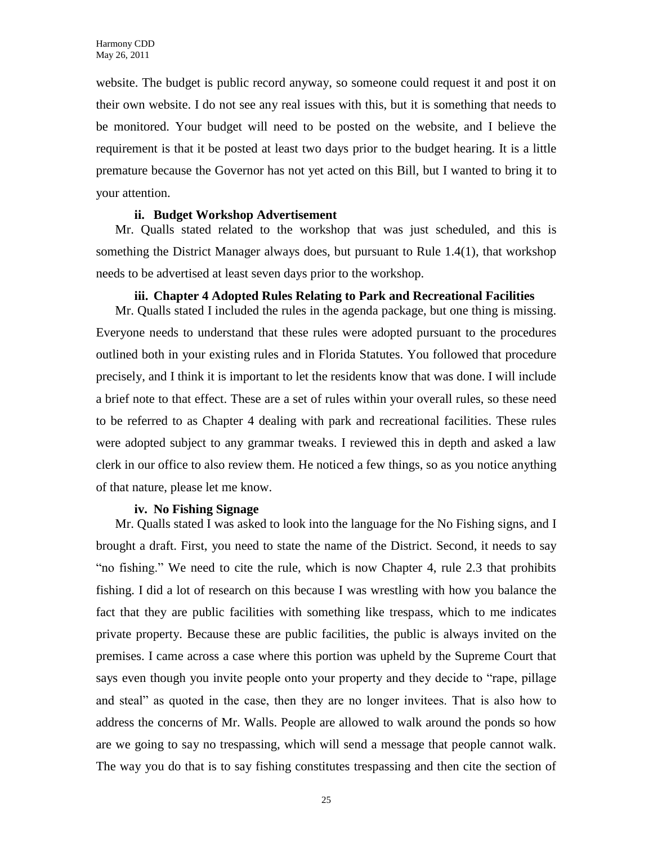website. The budget is public record anyway, so someone could request it and post it on their own website. I do not see any real issues with this, but it is something that needs to be monitored. Your budget will need to be posted on the website, and I believe the requirement is that it be posted at least two days prior to the budget hearing. It is a little premature because the Governor has not yet acted on this Bill, but I wanted to bring it to your attention.

#### **ii. Budget Workshop Advertisement**

Mr. Qualls stated related to the workshop that was just scheduled, and this is something the District Manager always does, but pursuant to Rule 1.4(1), that workshop needs to be advertised at least seven days prior to the workshop.

#### **iii. Chapter 4 Adopted Rules Relating to Park and Recreational Facilities**

Mr. Qualls stated I included the rules in the agenda package, but one thing is missing. Everyone needs to understand that these rules were adopted pursuant to the procedures outlined both in your existing rules and in Florida Statutes. You followed that procedure precisely, and I think it is important to let the residents know that was done. I will include a brief note to that effect. These are a set of rules within your overall rules, so these need to be referred to as Chapter 4 dealing with park and recreational facilities. These rules were adopted subject to any grammar tweaks. I reviewed this in depth and asked a law clerk in our office to also review them. He noticed a few things, so as you notice anything of that nature, please let me know.

#### **iv. No Fishing Signage**

Mr. Qualls stated I was asked to look into the language for the No Fishing signs, and I brought a draft. First, you need to state the name of the District. Second, it needs to say "no fishing." We need to cite the rule, which is now Chapter 4, rule 2.3 that prohibits fishing. I did a lot of research on this because I was wrestling with how you balance the fact that they are public facilities with something like trespass, which to me indicates private property. Because these are public facilities, the public is always invited on the premises. I came across a case where this portion was upheld by the Supreme Court that says even though you invite people onto your property and they decide to "rape, pillage and steal" as quoted in the case, then they are no longer invitees. That is also how to address the concerns of Mr. Walls. People are allowed to walk around the ponds so how are we going to say no trespassing, which will send a message that people cannot walk. The way you do that is to say fishing constitutes trespassing and then cite the section of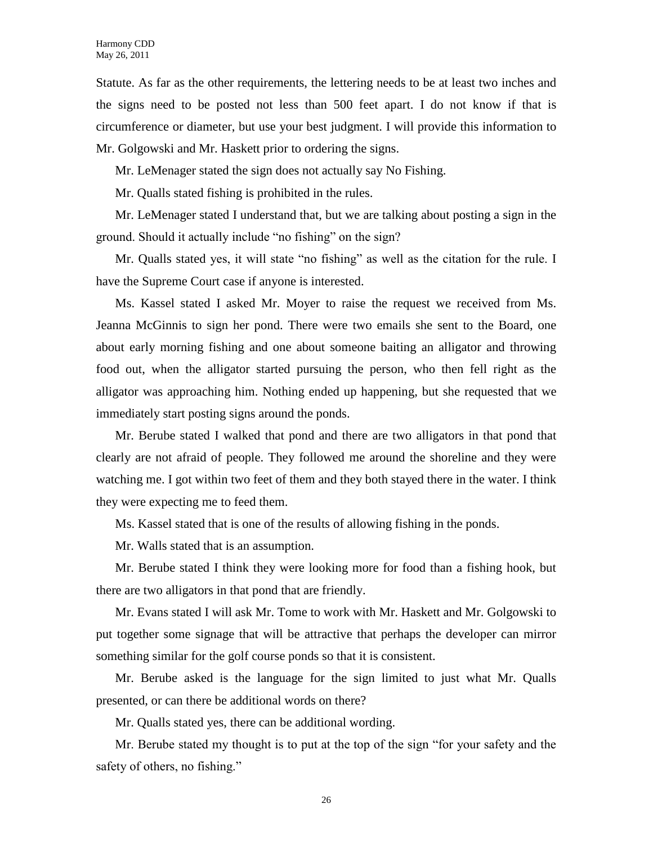Statute. As far as the other requirements, the lettering needs to be at least two inches and the signs need to be posted not less than 500 feet apart. I do not know if that is circumference or diameter, but use your best judgment. I will provide this information to Mr. Golgowski and Mr. Haskett prior to ordering the signs.

Mr. LeMenager stated the sign does not actually say No Fishing.

Mr. Qualls stated fishing is prohibited in the rules.

Mr. LeMenager stated I understand that, but we are talking about posting a sign in the ground. Should it actually include "no fishing" on the sign?

Mr. Qualls stated yes, it will state "no fishing" as well as the citation for the rule. I have the Supreme Court case if anyone is interested.

Ms. Kassel stated I asked Mr. Moyer to raise the request we received from Ms. Jeanna McGinnis to sign her pond. There were two emails she sent to the Board, one about early morning fishing and one about someone baiting an alligator and throwing food out, when the alligator started pursuing the person, who then fell right as the alligator was approaching him. Nothing ended up happening, but she requested that we immediately start posting signs around the ponds.

Mr. Berube stated I walked that pond and there are two alligators in that pond that clearly are not afraid of people. They followed me around the shoreline and they were watching me. I got within two feet of them and they both stayed there in the water. I think they were expecting me to feed them.

Ms. Kassel stated that is one of the results of allowing fishing in the ponds.

Mr. Walls stated that is an assumption.

Mr. Berube stated I think they were looking more for food than a fishing hook, but there are two alligators in that pond that are friendly.

Mr. Evans stated I will ask Mr. Tome to work with Mr. Haskett and Mr. Golgowski to put together some signage that will be attractive that perhaps the developer can mirror something similar for the golf course ponds so that it is consistent.

Mr. Berube asked is the language for the sign limited to just what Mr. Qualls presented, or can there be additional words on there?

Mr. Qualls stated yes, there can be additional wording.

Mr. Berube stated my thought is to put at the top of the sign "for your safety and the safety of others, no fishing."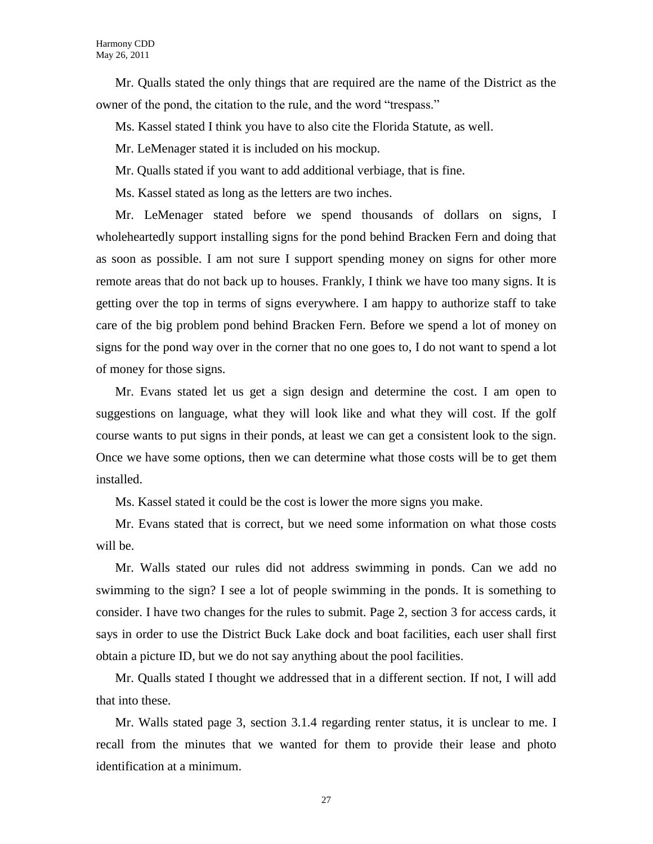Mr. Qualls stated the only things that are required are the name of the District as the owner of the pond, the citation to the rule, and the word "trespass."

Ms. Kassel stated I think you have to also cite the Florida Statute, as well.

Mr. LeMenager stated it is included on his mockup.

Mr. Qualls stated if you want to add additional verbiage, that is fine.

Ms. Kassel stated as long as the letters are two inches.

Mr. LeMenager stated before we spend thousands of dollars on signs, I wholeheartedly support installing signs for the pond behind Bracken Fern and doing that as soon as possible. I am not sure I support spending money on signs for other more remote areas that do not back up to houses. Frankly, I think we have too many signs. It is getting over the top in terms of signs everywhere. I am happy to authorize staff to take care of the big problem pond behind Bracken Fern. Before we spend a lot of money on signs for the pond way over in the corner that no one goes to, I do not want to spend a lot of money for those signs.

Mr. Evans stated let us get a sign design and determine the cost. I am open to suggestions on language, what they will look like and what they will cost. If the golf course wants to put signs in their ponds, at least we can get a consistent look to the sign. Once we have some options, then we can determine what those costs will be to get them installed.

Ms. Kassel stated it could be the cost is lower the more signs you make.

Mr. Evans stated that is correct, but we need some information on what those costs will be.

Mr. Walls stated our rules did not address swimming in ponds. Can we add no swimming to the sign? I see a lot of people swimming in the ponds. It is something to consider. I have two changes for the rules to submit. Page 2, section 3 for access cards, it says in order to use the District Buck Lake dock and boat facilities, each user shall first obtain a picture ID, but we do not say anything about the pool facilities.

Mr. Qualls stated I thought we addressed that in a different section. If not, I will add that into these.

Mr. Walls stated page 3, section 3.1.4 regarding renter status, it is unclear to me. I recall from the minutes that we wanted for them to provide their lease and photo identification at a minimum.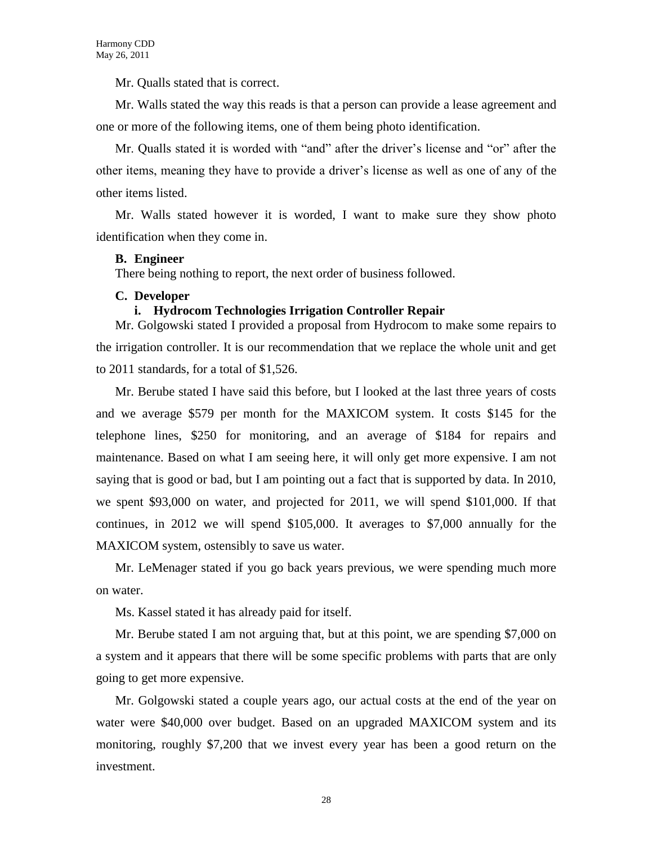Mr. Qualls stated that is correct.

Mr. Walls stated the way this reads is that a person can provide a lease agreement and one or more of the following items, one of them being photo identification.

Mr. Qualls stated it is worded with "and" after the driver's license and "or" after the other items, meaning they have to provide a driver's license as well as one of any of the other items listed.

Mr. Walls stated however it is worded, I want to make sure they show photo identification when they come in.

#### **B. Engineer**

There being nothing to report, the next order of business followed.

#### **C. Developer**

### **i. Hydrocom Technologies Irrigation Controller Repair**

Mr. Golgowski stated I provided a proposal from Hydrocom to make some repairs to the irrigation controller. It is our recommendation that we replace the whole unit and get to 2011 standards, for a total of \$1,526.

Mr. Berube stated I have said this before, but I looked at the last three years of costs and we average \$579 per month for the MAXICOM system. It costs \$145 for the telephone lines, \$250 for monitoring, and an average of \$184 for repairs and maintenance. Based on what I am seeing here, it will only get more expensive. I am not saying that is good or bad, but I am pointing out a fact that is supported by data. In 2010, we spent \$93,000 on water, and projected for 2011, we will spend \$101,000. If that continues, in 2012 we will spend \$105,000. It averages to \$7,000 annually for the MAXICOM system, ostensibly to save us water.

Mr. LeMenager stated if you go back years previous, we were spending much more on water.

Ms. Kassel stated it has already paid for itself.

Mr. Berube stated I am not arguing that, but at this point, we are spending \$7,000 on a system and it appears that there will be some specific problems with parts that are only going to get more expensive.

Mr. Golgowski stated a couple years ago, our actual costs at the end of the year on water were \$40,000 over budget. Based on an upgraded MAXICOM system and its monitoring, roughly \$7,200 that we invest every year has been a good return on the investment.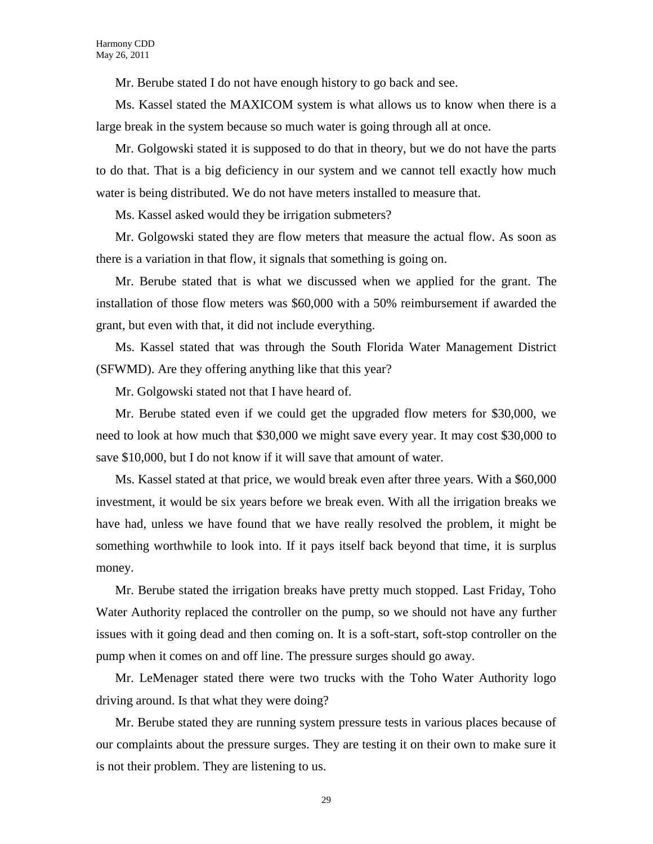Mr. Berube stated I do not have enough history to go back and see.

Ms. Kassel stated the MAXICOM system is what allows us to know when there is a large break in the system because so much water is going through all at once.

Mr. Golgowski stated it is supposed to do that in theory, but we do not have the parts to do that. That is a big deficiency in our system and we cannot tell exactly how much water is being distributed. We do not have meters installed to measure that.

Ms. Kassel asked would they be irrigation submeters?

Mr. Golgowski stated they are flow meters that measure the actual flow. As soon as there is a variation in that flow, it signals that something is going on.

Mr. Berube stated that is what we discussed when we applied for the grant. The installation of those flow meters was \$60,000 with a 50% reimbursement if awarded the grant, but even with that, it did not include everything.

Ms. Kassel stated that was through the South Florida Water Management District (SFWMD). Are they offering anything like that this year?

Mr. Golgowski stated not that I have heard of.

Mr. Berube stated even if we could get the upgraded flow meters for \$30,000, we need to look at how much that \$30,000 we might save every year. It may cost \$30,000 to save \$10,000, but I do not know if it will save that amount of water.

Ms. Kassel stated at that price, we would break even after three years. With a \$60,000 investment, it would be six years before we break even. With all the irrigation breaks we have had, unless we have found that we have really resolved the problem, it might be something worthwhile to look into. If it pays itself back beyond that time, it is surplus money.

Mr. Berube stated the irrigation breaks have pretty much stopped. Last Friday, Toho Water Authority replaced the controller on the pump, so we should not have any further issues with it going dead and then coming on. It is a soft-start, soft-stop controller on the pump when it comes on and off line. The pressure surges should go away.

Mr. LeMenager stated there were two trucks with the Toho Water Authority logo driving around. Is that what they were doing?

Mr. Berube stated they are running system pressure tests in various places because of our complaints about the pressure surges. They are testing it on their own to make sure it is not their problem. They are listening to us.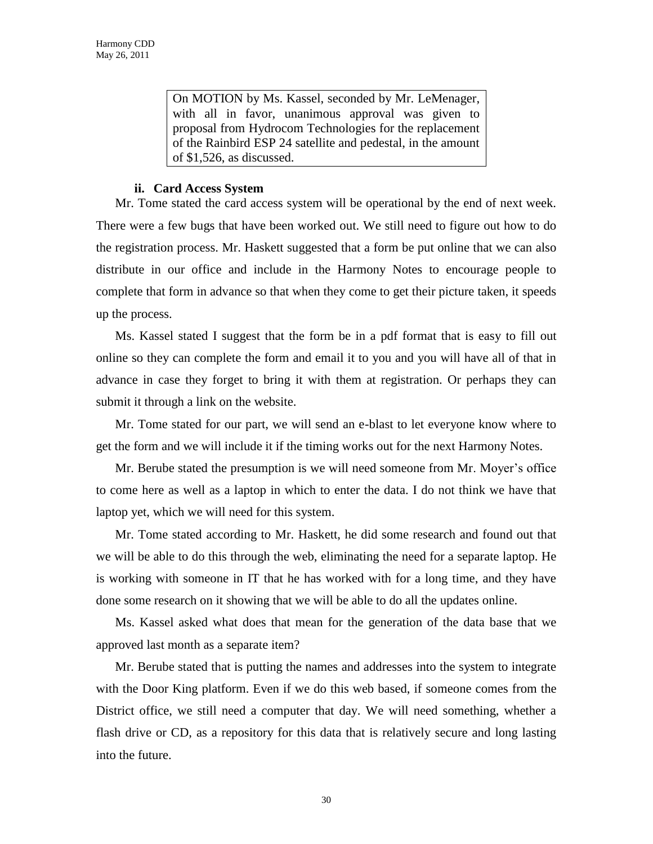On MOTION by Ms. Kassel, seconded by Mr. LeMenager, with all in favor, unanimous approval was given to proposal from Hydrocom Technologies for the replacement of the Rainbird ESP 24 satellite and pedestal, in the amount of \$1,526, as discussed.

#### **ii. Card Access System**

Mr. Tome stated the card access system will be operational by the end of next week. There were a few bugs that have been worked out. We still need to figure out how to do the registration process. Mr. Haskett suggested that a form be put online that we can also distribute in our office and include in the Harmony Notes to encourage people to complete that form in advance so that when they come to get their picture taken, it speeds up the process.

Ms. Kassel stated I suggest that the form be in a pdf format that is easy to fill out online so they can complete the form and email it to you and you will have all of that in advance in case they forget to bring it with them at registration. Or perhaps they can submit it through a link on the website.

Mr. Tome stated for our part, we will send an e-blast to let everyone know where to get the form and we will include it if the timing works out for the next Harmony Notes.

Mr. Berube stated the presumption is we will need someone from Mr. Moyer's office to come here as well as a laptop in which to enter the data. I do not think we have that laptop yet, which we will need for this system.

Mr. Tome stated according to Mr. Haskett, he did some research and found out that we will be able to do this through the web, eliminating the need for a separate laptop. He is working with someone in IT that he has worked with for a long time, and they have done some research on it showing that we will be able to do all the updates online.

Ms. Kassel asked what does that mean for the generation of the data base that we approved last month as a separate item?

Mr. Berube stated that is putting the names and addresses into the system to integrate with the Door King platform. Even if we do this web based, if someone comes from the District office, we still need a computer that day. We will need something, whether a flash drive or CD, as a repository for this data that is relatively secure and long lasting into the future.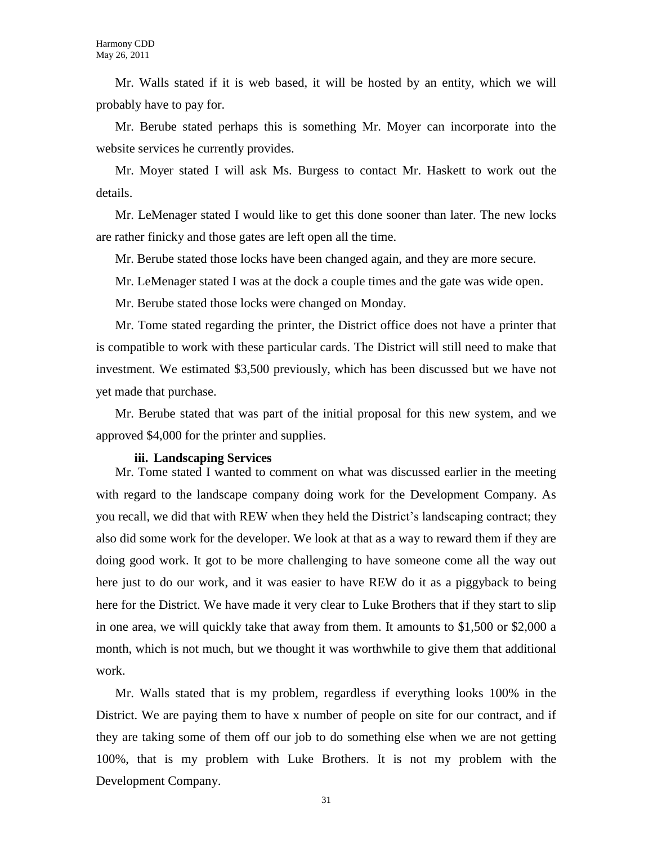Mr. Walls stated if it is web based, it will be hosted by an entity, which we will probably have to pay for.

Mr. Berube stated perhaps this is something Mr. Moyer can incorporate into the website services he currently provides.

Mr. Moyer stated I will ask Ms. Burgess to contact Mr. Haskett to work out the details.

Mr. LeMenager stated I would like to get this done sooner than later. The new locks are rather finicky and those gates are left open all the time.

Mr. Berube stated those locks have been changed again, and they are more secure.

Mr. LeMenager stated I was at the dock a couple times and the gate was wide open.

Mr. Berube stated those locks were changed on Monday.

Mr. Tome stated regarding the printer, the District office does not have a printer that is compatible to work with these particular cards. The District will still need to make that investment. We estimated \$3,500 previously, which has been discussed but we have not yet made that purchase.

Mr. Berube stated that was part of the initial proposal for this new system, and we approved \$4,000 for the printer and supplies.

#### **iii. Landscaping Services**

Mr. Tome stated I wanted to comment on what was discussed earlier in the meeting with regard to the landscape company doing work for the Development Company. As you recall, we did that with REW when they held the District's landscaping contract; they also did some work for the developer. We look at that as a way to reward them if they are doing good work. It got to be more challenging to have someone come all the way out here just to do our work, and it was easier to have REW do it as a piggyback to being here for the District. We have made it very clear to Luke Brothers that if they start to slip in one area, we will quickly take that away from them. It amounts to \$1,500 or \$2,000 a month, which is not much, but we thought it was worthwhile to give them that additional work.

Mr. Walls stated that is my problem, regardless if everything looks 100% in the District. We are paying them to have x number of people on site for our contract, and if they are taking some of them off our job to do something else when we are not getting 100%, that is my problem with Luke Brothers. It is not my problem with the Development Company.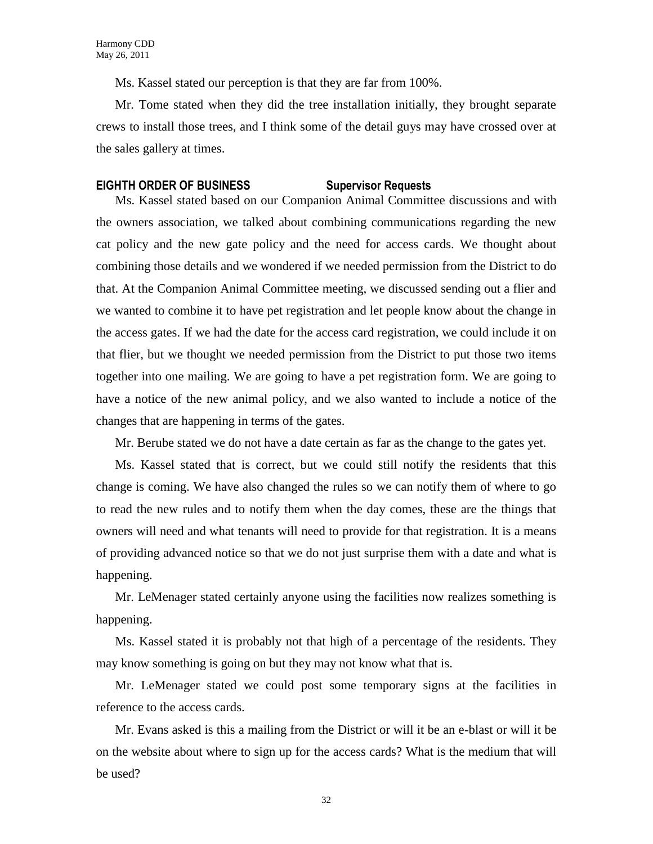Ms. Kassel stated our perception is that they are far from 100%.

Mr. Tome stated when they did the tree installation initially, they brought separate crews to install those trees, and I think some of the detail guys may have crossed over at the sales gallery at times.

### **EIGHTH ORDER OF BUSINESS Supervisor Requests**

Ms. Kassel stated based on our Companion Animal Committee discussions and with the owners association, we talked about combining communications regarding the new cat policy and the new gate policy and the need for access cards. We thought about combining those details and we wondered if we needed permission from the District to do that. At the Companion Animal Committee meeting, we discussed sending out a flier and we wanted to combine it to have pet registration and let people know about the change in the access gates. If we had the date for the access card registration, we could include it on that flier, but we thought we needed permission from the District to put those two items together into one mailing. We are going to have a pet registration form. We are going to have a notice of the new animal policy, and we also wanted to include a notice of the changes that are happening in terms of the gates.

Mr. Berube stated we do not have a date certain as far as the change to the gates yet.

Ms. Kassel stated that is correct, but we could still notify the residents that this change is coming. We have also changed the rules so we can notify them of where to go to read the new rules and to notify them when the day comes, these are the things that owners will need and what tenants will need to provide for that registration. It is a means of providing advanced notice so that we do not just surprise them with a date and what is happening.

Mr. LeMenager stated certainly anyone using the facilities now realizes something is happening.

Ms. Kassel stated it is probably not that high of a percentage of the residents. They may know something is going on but they may not know what that is.

Mr. LeMenager stated we could post some temporary signs at the facilities in reference to the access cards.

Mr. Evans asked is this a mailing from the District or will it be an e-blast or will it be on the website about where to sign up for the access cards? What is the medium that will be used?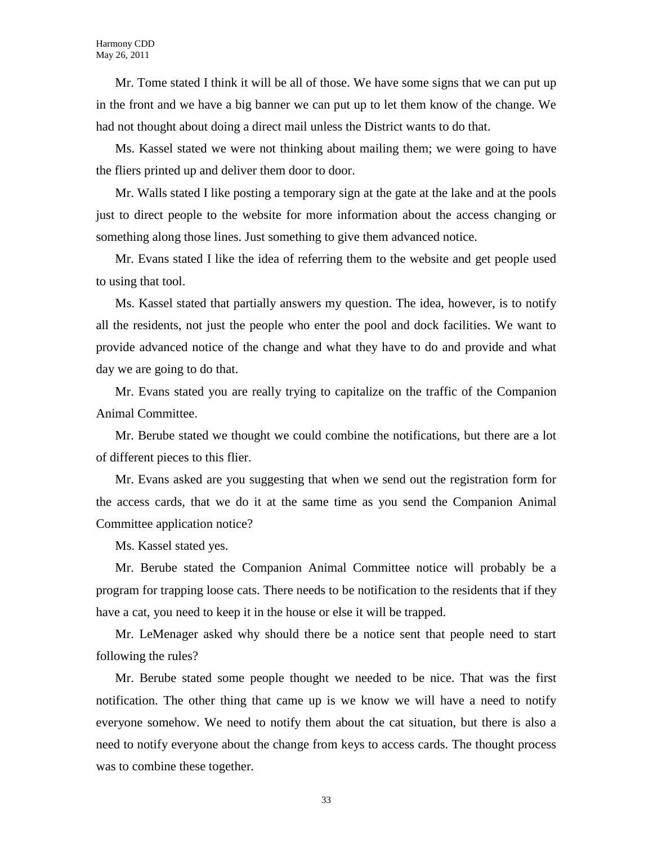Mr. Tome stated I think it will be all of those. We have some signs that we can put up in the front and we have a big banner we can put up to let them know of the change. We had not thought about doing a direct mail unless the District wants to do that.

Ms. Kassel stated we were not thinking about mailing them; we were going to have the fliers printed up and deliver them door to door.

Mr. Walls stated I like posting a temporary sign at the gate at the lake and at the pools just to direct people to the website for more information about the access changing or something along those lines. Just something to give them advanced notice.

Mr. Evans stated I like the idea of referring them to the website and get people used to using that tool.

Ms. Kassel stated that partially answers my question. The idea, however, is to notify all the residents, not just the people who enter the pool and dock facilities. We want to provide advanced notice of the change and what they have to do and provide and what day we are going to do that.

Mr. Evans stated you are really trying to capitalize on the traffic of the Companion Animal Committee.

Mr. Berube stated we thought we could combine the notifications, but there are a lot of different pieces to this flier.

Mr. Evans asked are you suggesting that when we send out the registration form for the access cards, that we do it at the same time as you send the Companion Animal Committee application notice?

Ms. Kassel stated yes.

Mr. Berube stated the Companion Animal Committee notice will probably be a program for trapping loose cats. There needs to be notification to the residents that if they have a cat, you need to keep it in the house or else it will be trapped.

Mr. LeMenager asked why should there be a notice sent that people need to start following the rules?

Mr. Berube stated some people thought we needed to be nice. That was the first notification. The other thing that came up is we know we will have a need to notify everyone somehow. We need to notify them about the cat situation, but there is also a need to notify everyone about the change from keys to access cards. The thought process was to combine these together.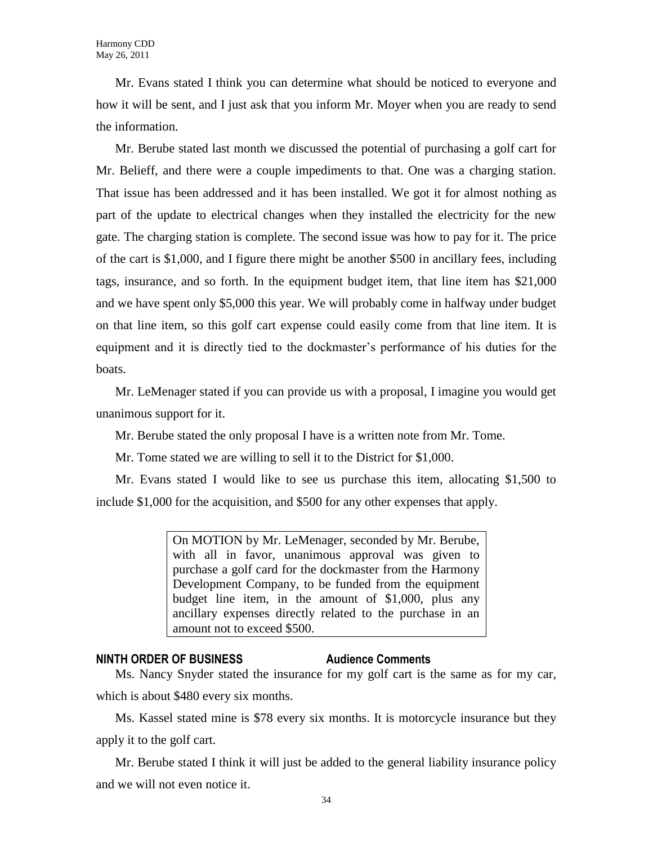Mr. Evans stated I think you can determine what should be noticed to everyone and how it will be sent, and I just ask that you inform Mr. Moyer when you are ready to send the information.

Mr. Berube stated last month we discussed the potential of purchasing a golf cart for Mr. Belieff, and there were a couple impediments to that. One was a charging station. That issue has been addressed and it has been installed. We got it for almost nothing as part of the update to electrical changes when they installed the electricity for the new gate. The charging station is complete. The second issue was how to pay for it. The price of the cart is \$1,000, and I figure there might be another \$500 in ancillary fees, including tags, insurance, and so forth. In the equipment budget item, that line item has \$21,000 and we have spent only \$5,000 this year. We will probably come in halfway under budget on that line item, so this golf cart expense could easily come from that line item. It is equipment and it is directly tied to the dockmaster's performance of his duties for the boats.

Mr. LeMenager stated if you can provide us with a proposal, I imagine you would get unanimous support for it.

Mr. Berube stated the only proposal I have is a written note from Mr. Tome.

Mr. Tome stated we are willing to sell it to the District for \$1,000.

Mr. Evans stated I would like to see us purchase this item, allocating \$1,500 to include \$1,000 for the acquisition, and \$500 for any other expenses that apply.

> On MOTION by Mr. LeMenager, seconded by Mr. Berube, with all in favor, unanimous approval was given to purchase a golf card for the dockmaster from the Harmony Development Company, to be funded from the equipment budget line item, in the amount of \$1,000, plus any ancillary expenses directly related to the purchase in an amount not to exceed \$500.

### **NINTH ORDER OF BUSINESS Audience Comments**

Ms. Nancy Snyder stated the insurance for my golf cart is the same as for my car, which is about \$480 every six months.

Ms. Kassel stated mine is \$78 every six months. It is motorcycle insurance but they apply it to the golf cart.

Mr. Berube stated I think it will just be added to the general liability insurance policy and we will not even notice it.